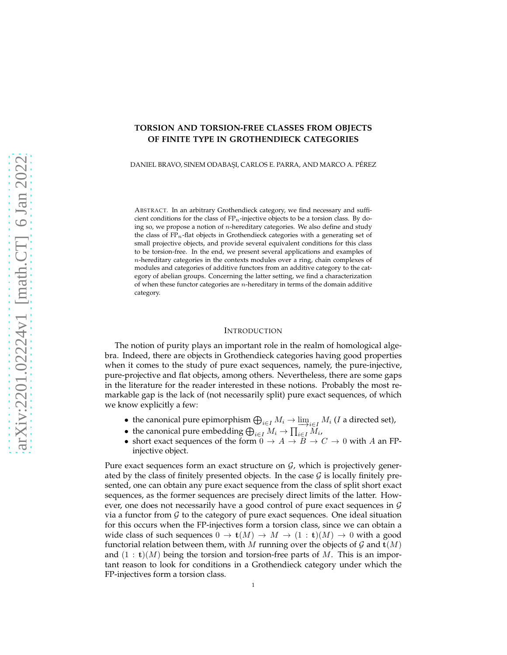# **TORSION AND TORSION-FREE CLASSES FROM OBJECTS OF FINITE TYPE IN GROTHENDIECK CATEGORIES**

DANIEL BRAVO, SINEM ODABAŞI, CARLOS E. PARRA, AND MARCO A. PÉREZ

ABSTRACT. In an arbitrary Grothendieck category, we find necessary and sufficient conditions for the class of  $FP_n$ -injective objects to be a torsion class. By doing so, we propose a notion of  $n$ -hereditary categories. We also define and study the class of  $FP_n$ -flat objects in Grothendieck categories with a generating set of small projective objects, and provide several equivalent conditions for this class to be torsion-free. In the end, we present several applications and examples of n-hereditary categories in the contexts modules over a ring, chain complexes of modules and categories of additive functors from an additive category to the category of abelian groups. Concerning the latter setting, we find a characterization of when these functor categories are  $n$ -hereditary in terms of the domain additive category.

## INTRODUCTION

The notion of purity plays an important role in the realm of homological algebra. Indeed, there are objects in Grothendieck categories having good properties when it comes to the study of pure exact sequences, namely, the pure-injective, pure-projective and flat objects, among others. Nevertheless, there are some gaps in the literature for the reader interested in these notions. Probably the most remarkable gap is the lack of (not necessarily split) pure exact sequences, of which we know explicitly a few:

- the canonical pure epimorphism  $\bigoplus_{i\in I} M_i \to \lim_{i\in I} M_i$  (*I* a directed set),
- the canonical pure embedding  $\bigoplus_{i\in I}M_i\to \prod_{i\in I}M_i$ ,
- short exact sequences of the form  $0 \to A \to \overline{B} \to C \to 0$  with A an FPinjective object.

Pure exact sequences form an exact structure on  $G$ , which is projectively generated by the class of finitely presented objects. In the case  $\mathcal G$  is locally finitely presented, one can obtain any pure exact sequence from the class of split short exact sequences, as the former sequences are precisely direct limits of the latter. However, one does not necessarily have a good control of pure exact sequences in G via a functor from  $\mathcal G$  to the category of pure exact sequences. One ideal situation for this occurs when the FP-injectives form a torsion class, since we can obtain a wide class of such sequences  $0 \to \mathbf{t}(M) \to M \to (1 : \mathbf{t})(M) \to 0$  with a good functorial relation between them, with M running over the objects of G and  $\mathbf{t}(M)$ and  $(1 : t)(M)$  being the torsion and torsion-free parts of M. This is an important reason to look for conditions in a Grothendieck category under which the FP-injectives form a torsion class.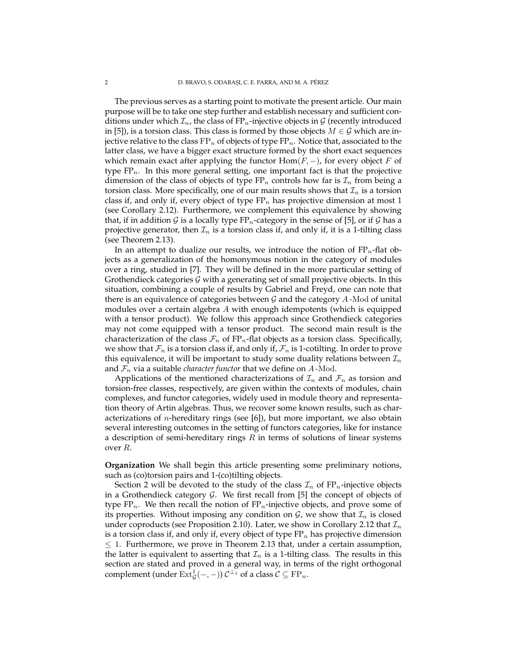The previous serves as a starting point to motivate the present article. Our main purpose will be to take one step further and establish necessary and sufficient conditions under which  $\mathcal{I}_n$ , the class of FP<sub>n</sub>-injective objects in  $\mathcal G$  (recently introduced in [5]), is a torsion class. This class is formed by those objects  $M \in \mathcal{G}$  which are injective relative to the class  $FP_n$  of objects of type  $FP_n$ . Notice that, associated to the latter class, we have a bigger exact structure formed by the short exact sequences which remain exact after applying the functor  $\text{Hom}(F, -)$ , for every object F of type  $FP_n$ . In this more general setting, one important fact is that the projective dimension of the class of objects of type  $FP_n$  controls how far is  $\mathcal{I}_n$  from being a torsion class. More specifically, one of our main results shows that  $\mathcal{I}_n$  is a torsion class if, and only if, every object of type  $FP_n$  has projective dimension at most 1 (see Corollary 2.12). Furthermore, we complement this equivalence by showing that, if in addition G is a locally type  $FP_n$ -category in the sense of [5], or if G has a projective generator, then  $\mathcal{I}_n$  is a torsion class if, and only if, it is a 1-tilting class (see Theorem 2.13).

In an attempt to dualize our results, we introduce the notion of  $FP_n$ -flat objects as a generalization of the homonymous notion in the category of modules over a ring, studied in [7]. They will be defined in the more particular setting of Grothendieck categories  $G$  with a generating set of small projective objects. In this situation, combining a couple of results by Gabriel and Freyd, one can note that there is an equivalence of categories between  $G$  and the category  $A$ -Mod of unital modules over a certain algebra A with enough idempotents (which is equipped with a tensor product). We follow this approach since Grothendieck categories may not come equipped with a tensor product. The second main result is the characterization of the class  $\mathcal{F}_n$  of FP<sub>n</sub>-flat objects as a torsion class. Specifically, we show that  $\mathcal{F}_n$  is a torsion class if, and only if,  $\mathcal{F}_n$  is 1-cotilting. In order to prove this equivalence, it will be important to study some duality relations between  $\mathcal{I}_n$ and  $\mathcal{F}_n$  via a suitable *character functor* that we define on  $A$ -Mod.

Applications of the mentioned characterizations of  $\mathcal{I}_n$  and  $\mathcal{F}_n$  as torsion and torsion-free classes, respectively, are given within the contexts of modules, chain complexes, and functor categories, widely used in module theory and representation theory of Artin algebras. Thus, we recover some known results, such as characterizations of *n*-hereditary rings (see [6]), but more important, we also obtain several interesting outcomes in the setting of functors categories, like for instance a description of semi-hereditary rings  $R$  in terms of solutions of linear systems over R.

**Organization** We shall begin this article presenting some preliminary notions, such as (co)torsion pairs and 1-(co)tilting objects.

Section 2 will be devoted to the study of the class  $\mathcal{I}_n$  of FP<sub>n</sub>-injective objects in a Grothendieck category  $G$ . We first recall from [5] the concept of objects of type  $FP_n$ . We then recall the notion of  $FP_n$ -injective objects, and prove some of its properties. Without imposing any condition on  $\mathcal{G}$ , we show that  $\mathcal{I}_n$  is closed under coproducts (see Proposition 2.10). Later, we show in Corollary 2.12 that  $\mathcal{I}_n$ is a torsion class if, and only if, every object of type  $FP_n$  has projective dimension  $\leq$  1. Furthermore, we prove in Theorem 2.13 that, under a certain assumption, the latter is equivalent to asserting that  $\mathcal{I}_n$  is a 1-tilting class. The results in this section are stated and proved in a general way, in terms of the right orthogonal complement (under  $\mathrm{Ext}^1_\mathcal{G}(-,-))$   $\mathcal{C}^{\perp_1}$  of a class  $\mathcal{C} \subseteq \mathrm{FP}_n$ .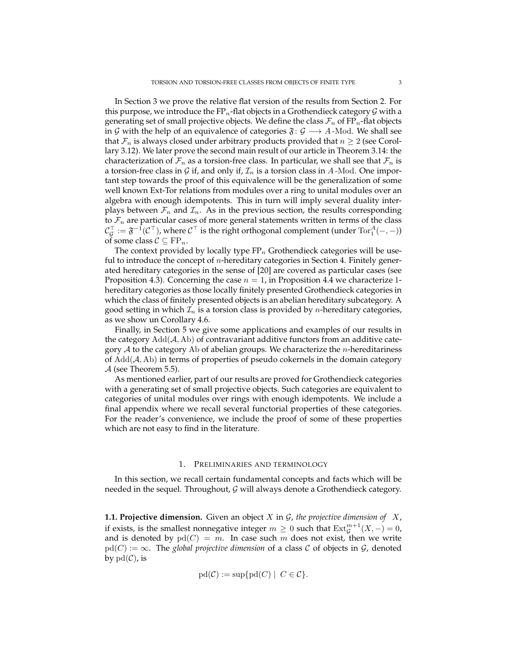In Section 3 we prove the relative flat version of the results from Section 2. For this purpose, we introduce the  $FP_n$ -flat objects in a Grothendieck category  $G$  with a generating set of small projective objects. We define the class  $\mathcal{F}_n$  of FP<sub>n</sub>-flat objects in G with the help of an equivalence of categories  $\mathfrak{F}: \mathcal{G} \longrightarrow A$ -Mod. We shall see that  $\mathcal{F}_n$  is always closed under arbitrary products provided that  $n \geq 2$  (see Corollary 3.12). We later prove the second main result of our article in Theorem 3.14: the characterization of  $\mathcal{F}_n$  as a torsion-free class. In particular, we shall see that  $\mathcal{F}_n$  is a torsion-free class in G if, and only if,  $\mathcal{I}_n$  is a torsion class in A-Mod. One important step towards the proof of this equivalence will be the generalization of some well known Ext-Tor relations from modules over a ring to unital modules over an algebra with enough idempotents. This in turn will imply several duality interplays between  $\mathcal{F}_n$  and  $\mathcal{I}_n$ . As in the previous section, the results corresponding to  $\mathcal{F}_n$  are particular cases of more general statements written in terms of the class  $\mathcal{C}_\mathcal{G}^\top:=\mathfrak{F}^{-1}(\mathcal{C}^\top)$ , where  $\mathcal{C}^\top$  is the right orthogonal complement (under  $\mathrm{Tor}_1^A(-,-)$ ) of some class  $C \subseteq \mathrm{FP}_n$ .

The context provided by locally type  $FP_n$  Grothendieck categories will be useful to introduce the concept of n-hereditary categories in Section 4. Finitely generated hereditary categories in the sense of [20] are covered as particular cases (see Proposition 4.3). Concerning the case  $n = 1$ , in Proposition 4.4 we characterize 1hereditary categories as those locally finitely presented Grothendieck categories in which the class of finitely presented objects is an abelian hereditary subcategory. A good setting in which  $\mathcal{I}_n$  is a torsion class is provided by *n*-hereditary categories, as we show un Corollary 4.6.

Finally, in Section 5 we give some applications and examples of our results in the category  $Add(\mathcal{A}, Ab)$  of contravariant additive functors from an additive category  $A$  to the category Ab of abelian groups. We characterize the *n*-hereditariness of  $Add(\mathcal{A}, Ab)$  in terms of properties of pseudo cokernels in the domain category  $\mathcal A$  (see Theorem 5.5).

As mentioned earlier, part of our results are proved for Grothendieck categories with a generating set of small projective objects. Such categories are equivalent to categories of unital modules over rings with enough idempotents. We include a final appendix where we recall several functorial properties of these categories. For the reader's convenience, we include the proof of some of these properties which are not easy to find in the literature.

#### 1. PRELIMINARIES AND TERMINOLOGY

In this section, we recall certain fundamental concepts and facts which will be needed in the sequel. Throughout,  $G$  will always denote a Grothendieck category.

**1.1. Projective dimension.** Given an object  $X$  in  $G$ , the projective dimension of  $X$ , if exists, is the smallest nonnegative integer  $m\geq 0$  such that  $\mathrm{Ext}^{m+1}_\mathcal{G}(X, -)=0$ , and is denoted by  $pd(C) = m$ . In case such m does not exist, then we write  $pd(C) := \infty$ . The *global projective dimension* of a class C of objects in G, denoted by  $pd(\mathcal{C})$ , is

$$
\text{pd}(\mathcal{C}) := \sup \{ \text{pd}(C) \mid C \in \mathcal{C} \}.
$$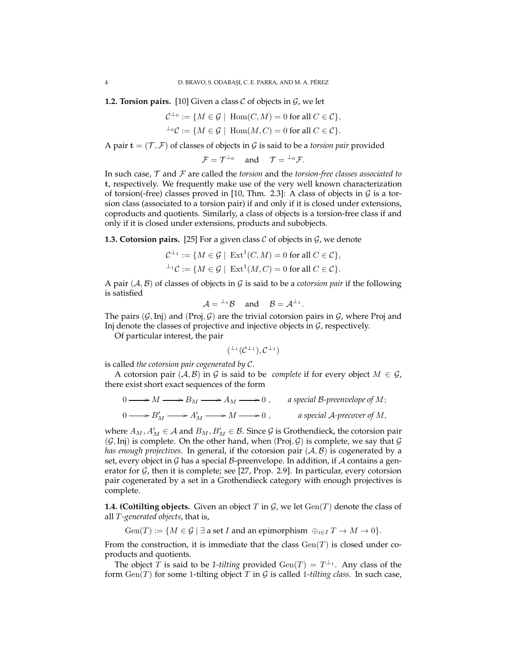**1.2. Torsion pairs.** [10] Given a class  $C$  of objects in  $G$ , we let

$$
\mathcal{C}^{\perp_0} := \{ M \in \mathcal{G} \mid \text{ Hom}(C, M) = 0 \text{ for all } C \in \mathcal{C} \},
$$
  

$$
^{\perp_0}\mathcal{C} := \{ M \in \mathcal{G} \mid \text{ Hom}(M, C) = 0 \text{ for all } C \in \mathcal{C} \}.
$$

A pair  $\mathbf{t} = (\mathcal{T}, \mathcal{F})$  of classes of objects in  $\mathcal{G}$  is said to be a *torsion pair* provided

$$
\mathcal{F} = \mathcal{T}^{\perp_0} \quad \text{ and } \quad \mathcal{T} = {}^{\perp_0} \mathcal{F}.
$$

In such case, T and F are called the *torsion* and the *torsion-free classes associated to* t, respectively. We frequently make use of the very well known characterization of torsion(-free) classes proved in [10, Thm. 2.3]: A class of objects in  $\mathcal G$  is a torsion class (associated to a torsion pair) if and only if it is closed under extensions, coproducts and quotients. Similarly, a class of objects is a torsion-free class if and only if it is closed under extensions, products and subobjects.

**1.3. Cotorsion pairs.** [25] For a given class  $C$  of objects in  $G$ , we denote

$$
\mathcal{C}^{\perp_1} := \{ M \in \mathcal{G} \mid \operatorname{Ext}^1(C, M) = 0 \text{ for all } C \in \mathcal{C} \},
$$
  

$$
{}^{\perp_1}\mathcal{C} := \{ M \in \mathcal{G} \mid \operatorname{Ext}^1(M, C) = 0 \text{ for all } C \in \mathcal{C} \}.
$$

A pair  $(A, B)$  of classes of objects in G is said to be a *cotorsion pair* if the following is satisfied

$$
\mathcal{A} = {}^{\perp_1} \mathcal{B} \quad \text{and} \quad \mathcal{B} = \mathcal{A}^{\perp_1}.
$$

The pairs  $(G, Inj)$  and  $(Proj, G)$  are the trivial cotorsion pairs in G, where Proj and Inj denote the classes of projective and injective objects in  $G$ , respectively.

Of particular interest, the pair

$$
({}^{\perp_1}(\mathcal{C}^{\perp_1}), \mathcal{C}^{\perp_1})
$$

is called *the cotorsion pair cogenerated by* C.

A cotorsion pair  $(A, B)$  in G is said to be *complete* if for every object  $M \in \mathcal{G}$ , there exist short exact sequences of the form

$$
0 \longrightarrow M \longrightarrow B_M \longrightarrow A_M \longrightarrow 0, \qquad a \text{ special } B\text{-preenvelope of } M;
$$
  

$$
0 \longrightarrow B'_M \longrightarrow A'_M \longrightarrow M \longrightarrow 0, \qquad a \text{ special } A\text{-precover of } M,
$$

where  $A_M$ ,  $A'_M \in \mathcal{A}$  and  $B_M$ ,  $B'_M \in \mathcal{B}$ . Since  $\mathcal G$  is Grothendieck, the cotorsion pair  $(G, Inj)$  is complete. On the other hand, when  $(Proj, G)$  is complete, we say that G *has enough projectives*. In general, if the cotorsion pair  $(A, B)$  is cogenerated by a set, every object in  $\mathcal G$  has a special  $\mathcal B$ -preenvelope. In addition, if  $\mathcal A$  contains a generator for  $G$ , then it is complete; see [27, Prop. 2.9]. In particular, every cotorsion pair cogenerated by a set in a Grothendieck category with enough projectives is complete.

**1.4. (Co)tilting objects.** Given an object T in  $\mathcal{G}$ , we let  $Gen(T)$  denote the class of all T *-generated objects*, that is,

 $Gen(T) := \{ M \in \mathcal{G} \mid \exists \text{ a set } I \text{ and an epimorphism } \oplus_{i \in I} T \to M \to 0 \}.$ 

From the construction, it is immediate that the class  $Gen(T)$  is closed under coproducts and quotients.

The object T is said to be 1-tilting provided  $Gen(T) = T^{\perp_1}$ . Any class of the form  $Gen(T)$  for some 1-tilting object T in G is called 1-tilting class. In such case,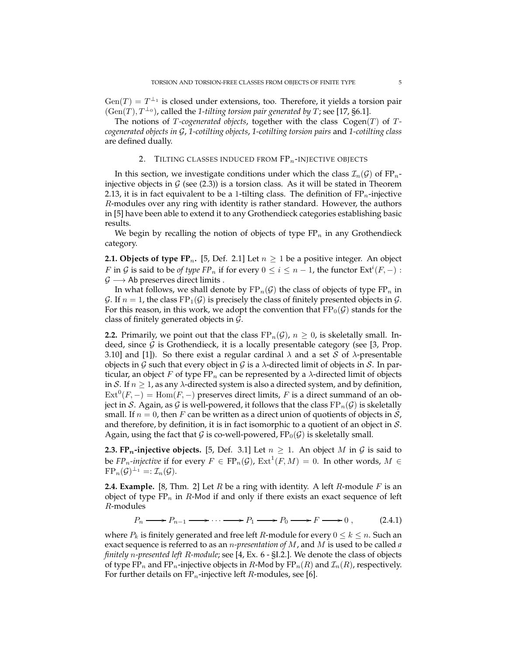$Gen(T) = T^{\perp_1}$  is closed under extensions, too. Therefore, it yields a torsion pair  $(Gen(T), T^{\perp_0})$ , called the 1-tilting torsion pair generated by T; see [17, §6.1].

The notions of T-cogenerated objects, together with the class  $Cogen(T)$  of T*cogenerated objects in* G, *1-cotilting objects*, *1-cotilting torsion pairs* and *1-cotilting class* are defined dually.

## 2. TILTING CLASSES INDUCED FROM  $FP_n$ -INJECTIVE OBJECTS

In this section, we investigate conditions under which the class  $\mathcal{I}_n(\mathcal{G})$  of  $FP_n$ injective objects in  $G$  (see (2.3)) is a torsion class. As it will be stated in Theorem 2.13, it is in fact equivalent to be a 1-tilting class. The definition of  $FP_n$ -injective R-modules over any ring with identity is rather standard. However, the authors in [5] have been able to extend it to any Grothendieck categories establishing basic results.

We begin by recalling the notion of objects of type  $FP_n$  in any Grothendieck category.

**2.1. Objects of type FP<sub>n</sub>.** [5, Def. 2.1] Let  $n \geq 1$  be a positive integer. An object F in G is said to be *of type*  $FP_n$  if for every  $0 \le i \le n-1$ , the functor  $Ext^i(F, -)$ :  $\mathcal{G} \longrightarrow$  Ab preserves direct limits .

In what follows, we shall denote by  $FP_n(G)$  the class of objects of type  $FP_n$  in G. If  $n = 1$ , the class  $FP_1(G)$  is precisely the class of finitely presented objects in G. For this reason, in this work, we adopt the convention that  $FP_0(\mathcal{G})$  stands for the class of finitely generated objects in G.

**2.2.** Primarily, we point out that the class  $FP_n(G)$ ,  $n \ge 0$ , is skeletally small. Indeed, since  $G$  is Grothendieck, it is a locally presentable category (see [3, Prop. 3.10] and [1]). So there exist a regular cardinal  $\lambda$  and a set S of  $\lambda$ -presentable objects in G such that every object in G is a  $\lambda$ -directed limit of objects in S. In particular, an object F of type  $FP_n$  can be represented by a  $\lambda$ -directed limit of objects in S. If  $n \geq 1$ , as any  $\lambda$ -directed system is also a directed system, and by definition,  $\text{Ext}^0(F, -) = \text{Hom}(F, -)$  preserves direct limits, F is a direct summand of an object in S. Again, as G is well-powered, it follows that the class  $FP_n(G)$  is skeletally small. If  $n = 0$ , then F can be written as a direct union of quotients of objects in S, and therefore, by definition, it is in fact isomorphic to a quotient of an object in S. Again, using the fact that G is co-well-powered,  $FP_0(\mathcal{G})$  is skeletally small.

**2.3. FP<sub>n</sub>-injective objects.** [5, Def. 3.1] Let  $n \geq 1$ . An object M in G is said to be  $FP_n$ -*injective* if for every  $F \in FP_n(\mathcal{G})$ ,  $Ext^1(F,M) = 0$ . In other words,  $M \in$  $\operatorname{FP}_n(\mathcal{G})^{\perp_1} =: \mathcal{I}_n(\mathcal{G}).$ 

**2.4. Example.** [8, Thm. 2] Let  $R$  be a ring with identity. A left  $R$ -module  $F$  is an object of type  $FP_n$  in R-Mod if and only if there exists an exact sequence of left R-modules

$$
P_n \longrightarrow P_{n-1} \longrightarrow \cdots \longrightarrow P_1 \longrightarrow P_0 \longrightarrow F \longrightarrow 0 , \qquad (2.4.1)
$$

where  $P_k$  is finitely generated and free left  $R$ -module for every  $0 \leq k \leq n$ . Such an exact sequence is referred to as an n*-presentation of* M, and M is used to be called *a finitely* n*-presented left* R*-module*; see [4, Ex. 6 - §I.2.]. We denote the class of objects of type FP<sub>n</sub> and FP<sub>n</sub>-injective objects in R-Mod by FP<sub>n</sub>(R) and  $\mathcal{I}_n(R)$ , respectively. For further details on  $FP_n$ -injective left R-modules, see [6].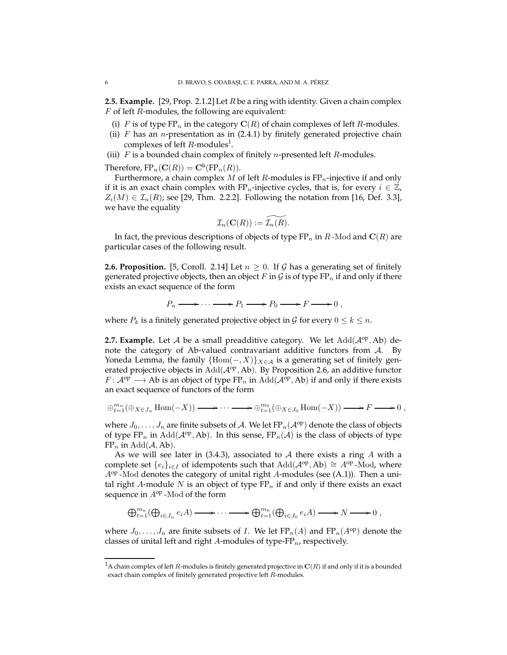**2.5. Example.** [29, Prop. 2.1.2] Let R be a ring with identity. Given a chain complex F of left R-modules, the following are equivalent:

- (i) F is of type  $FP_n$  in the category  $C(R)$  of chain complexes of left R-modules.
- (ii)  $F$  has an *n*-presentation as in (2.4.1) by finitely generated projective chain complexes of left  $R$ -modules<sup>1</sup>.
- (iii)  $F$  is a bounded chain complex of finitely *n*-presented left  $R$ -modules.

Therefore,  $\text{FP}_n(\mathbf{C}(R)) = \mathbf{C}^{\text{b}}(\text{FP}_n(R)).$ 

Furthermore, a chain complex M of left R-modules is  $FP_n$ -injective if and only if it is an exact chain complex with FP<sub>n</sub>-injective cycles, that is, for every  $i \in \mathbb{Z}$ ,  $Z_i(M) \in \mathcal{I}_n(R)$ ; see [29, Thm. 2.2.2]. Following the notation from [16, Def. 3.3], we have the equality

$$
\mathcal{I}_n(\mathbf{C}(R)) := \widetilde{\mathcal{I}_n(R)}.
$$

In fact, the previous descriptions of objects of type  $FP_n$  in R-Mod and  $\mathbf{C}(R)$  are particular cases of the following result.

**2.6. Proposition.** [5, Coroll. 2.14] Let  $n \geq 0$ . If G has a generating set of finitely generated projective objects, then an object F in G is of type  $FP_n$  if and only if there exists an exact sequence of the form

$$
P_n \longrightarrow \cdots \longrightarrow P_1 \longrightarrow P_0 \longrightarrow F \longrightarrow 0 ,
$$

where  $P_k$  is a finitely generated projective object in G for every  $0 \leq k \leq n$ .

**2.7. Example.** Let  $A$  be a small preadditive category. We let  $Add(A^{op}, Ab)$  denote the category of Ab-valued contravariant additive functors from A. By Yoneda Lemma, the family  ${Hom(-, X)}_{X \in \mathcal{A}}$  is a generating set of finitely generated projective objects in  $Add(A^{op}, Ab)$ . By Proposition 2.6, an additive functor  $F: \mathcal{A}^{op} \longrightarrow Ab$  is an object of type  $FP_n$  in  $Add(\mathcal{A}^{op}, Ab)$  if and only if there exists an exact sequence of functors of the form

$$
\oplus_{t=1}^{m_n}(\oplus_{X\in J_n}\text{Hom}(-X))\longrightarrow\cdots\longrightarrow\oplus_{t=1}^{m_0}(\oplus_{X\in J_0}\text{Hom}(-X))\longrightarrow F\longrightarrow 0,
$$

where  $J_0, \ldots, J_n$  are finite subsets of A. We let  $FP_n(\mathcal{A}^{op})$  denote the class of objects of type  $FP_n$  in  $Add(A^{op}, Ab)$ . In this sense,  $FP_n(A)$  is the class of objects of type  $FP_n$  in  $Add(\mathcal{A}, Ab)$ .

As we will see later in  $(3.4.3)$ , associated to A there exists a ring A with a complete set  $\{e_i\}_{i\in I}$  of idempotents such that  $Add(\mathcal{A}^{op},Ab) \cong A^{op}$ -Mod, where  $A^{op}$ -Mod denotes the category of unital right A-modules (see (A.1)). Then a unital right A-module  $N$  is an object of type  $FP_n$  if and only if there exists an exact sequence in  $A^{op}$ -Mod of the form

$$
\bigoplus_{t=1}^{m_n} (\bigoplus_{i\in J_n} e_i A) \longrightarrow \cdots \longrightarrow \bigoplus_{t=1}^{m_0} (\bigoplus_{i\in J_0} e_i A) \longrightarrow N \longrightarrow 0,
$$

where  $J_0, \ldots, J_n$  are finite subsets of *I*. We let  $\text{FP}_n(A)$  and  $\text{FP}_n(A^{\text{op}})$  denote the classes of unital left and right A-modules of type- $FP_n$ , respectively.

<sup>&</sup>lt;sup>1</sup>A chain complex of left R-modules is finitely generated projective in  $\mathbf{C}(R)$  if and only if it is a bounded exact chain complex of finitely generated projective left R-modules.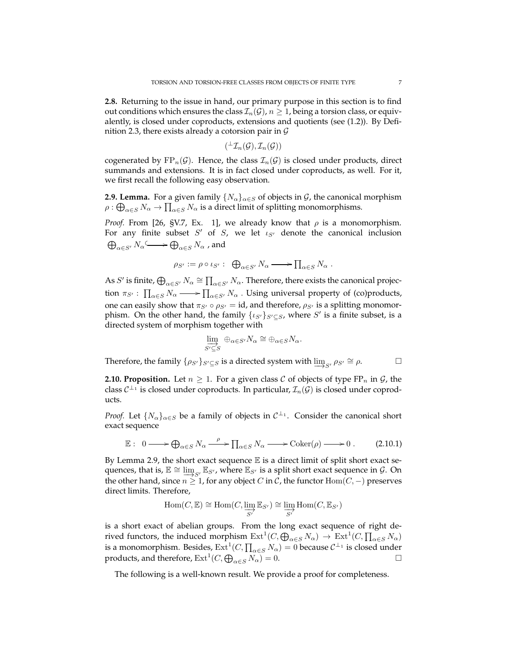**2.8.** Returning to the issue in hand, our primary purpose in this section is to find out conditions which ensures the class  $\mathcal{I}_n(\mathcal{G})$ ,  $n \geq 1$ , being a torsion class, or equivalently, is closed under coproducts, extensions and quotients (see (1.2)). By Definition 2.3, there exists already a cotorsion pair in  $G$ 

$$
({}^\perp\mathcal{I}_n(\mathcal{G}), \mathcal{I}_n(\mathcal{G}))
$$

cogenerated by  $FP_n(\mathcal{G})$ . Hence, the class  $\mathcal{I}_n(\mathcal{G})$  is closed under products, direct summands and extensions. It is in fact closed under coproducts, as well. For it, we first recall the following easy observation.

**2.9. Lemma.** For a given family  $\{N_{\alpha}\}_{{\alpha} \in S}$  of objects in  $\mathcal{G}$ , the canonical morphism  $\rho: \bigoplus_{\alpha \in S} N_\alpha \to \prod_{\alpha \in S} N_\alpha$  is a direct limit of splitting monomorphisms.

*Proof.* From [26, §V.7, Ex. 1], we already know that  $\rho$  is a monomorphism. For any finite subset  $S'$  of  $S$ , we let  $\iota_{S'}$  denote the canonical inclusion  $\bigoplus_{\alpha\in S'}N_\alpha \overset{\textup{d}}{\longleftrightarrow} \bigoplus_{\alpha\in S}N_\alpha$  , and

$$
\rho_{S'} := \rho \circ \iota_{S'} : \bigoplus_{\alpha \in S'} N_{\alpha} \longrightarrow \prod_{\alpha \in S} N_{\alpha} .
$$

As S' is finite,  $\bigoplus_{\alpha \in S'} N_\alpha \cong \prod_{\alpha \in S'} N_\alpha$ . Therefore, there exists the canonical projection  $\pi_{S'}: \prod_{\alpha \in S} N_\alpha \longrightarrow \prod_{\alpha \in S'} N_\alpha$  . Using universal property of (co)products, one can easily show that  $\pi_{S'} \circ \rho_{S'} = id$ , and therefore,  $\rho_{S'}$  is a splitting monomorphism. On the other hand, the family  $\{ \iota_{S'} \}_{S' \subseteq S}$ , where  $S'$  is a finite subset, is a directed system of morphism together with

$$
\varinjlim_{S' \subseteq S} \oplus_{\alpha \in S'} N_\alpha \cong \oplus_{\alpha \in S} N_\alpha.
$$

Therefore, the family  $\{\rho_{S'}\}_{S' \subseteq S}$  is a directed system with  $\varinjlim_{S'} \rho_{S'} \cong \rho$ .

**2.10. Proposition.** Let  $n \geq 1$ . For a given class C of objects of type FP<sub>n</sub> in G, the class  $C^{\perp_1}$  is closed under coproducts. In particular,  $\mathcal{I}_n(\mathcal{G})$  is closed under coproducts.

*Proof.* Let  $\{N_{\alpha}\}_{{\alpha}\in S}$  be a family of objects in  $C^{\perp_1}$ . Consider the canonical short exact sequence

$$
\mathbb{E}: 0 \longrightarrow \bigoplus_{\alpha \in S} N_{\alpha} \xrightarrow{\rho} \prod_{\alpha \in S} N_{\alpha} \longrightarrow \text{Coker}(\rho) \longrightarrow 0. \tag{2.10.1}
$$

By Lemma 2.9, the short exact sequence  $E$  is a direct limit of split short exact sequences, that is,  $E \cong \varinjlim_{S'} E_{S'}$ , where  $E_{S'}$  is a split short exact sequence in  $\mathcal{G}$ . On the other hand, since  $n \geq 1$ , for any object C in C, the functor Hom( $C$ , −) preserves direct limits. Therefore,

$$
\mathrm{Hom}(C,\mathbb{E})\cong \mathrm{Hom}(C,\varinjlim_{S'}\mathbb{E}_{S'})\cong \varinjlim_{S'}\mathrm{Hom}(C,\mathbb{E}_{S'})
$$

is a short exact of abelian groups. From the long exact sequence of right derived functors, the induced morphism  $\Ext^1(C, \bigoplus_{\alpha \in S} N_\alpha) \to \Ext^1(C, \prod_{\alpha \in S} N_\alpha)$ is a monomorphism. Besides,  $\text{Ext}^1(C, \prod_{\alpha \in S} N_\alpha) = 0$  because  $\mathcal{C}^{\perp_1}$  is closed under products, and therefore,  $\text{Ext}^1(C, \bigoplus_{\alpha \in S} N_\alpha) = 0.$ 

The following is a well-known result. We provide a proof for completeness.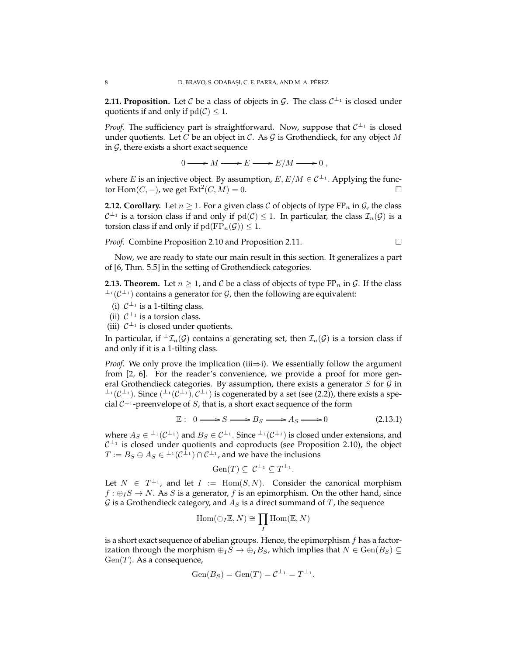**2.11. Proposition.** Let  $C$  be a class of objects in  $\mathcal{G}$ . The class  $C^{\perp_1}$  is closed under quotients if and only if  $pd(C) \leq 1$ .

*Proof.* The sufficiency part is straightforward. Now, suppose that  $C^{\perp_1}$  is closed under quotients. Let C be an object in C. As G is Grothendieck, for any object M in  $G$ , there exists a short exact sequence

 $0 \longrightarrow M \longrightarrow E \longrightarrow E/M \longrightarrow 0$ ,

where *E* is an injective object. By assumption,  $E, E/M \in C^{\perp_1}$ . Applying the functor Hom(*C*, −), we get Ext<sup>2</sup>(*C*, *M*) = 0.

**2.12. Corollary.** Let  $n \geq 1$ . For a given class C of objects of type FP<sub>n</sub> in G<sub>t</sub>, the class  $C^{\perp_1}$  is a torsion class if and only if  $\text{pd}(\mathcal{C}) \leq 1$ . In particular, the class  $\mathcal{I}_n(\mathcal{G})$  is a torsion class if and only if  $pd(FP_n(\mathcal{G})) \leq 1$ .

*Proof.* Combine Proposition 2.10 and Proposition 2.11.

Now, we are ready to state our main result in this section. It generalizes a part of [6, Thm. 5.5] in the setting of Grothendieck categories.

**2.13. Theorem.** Let  $n \geq 1$ , and C be a class of objects of type  $\text{FP}_n$  in G. If the class  $\perp$ <sup>1</sup>( $\mathcal{C}^{\perp}$ ) contains a generator for  $\mathcal{G}$ , then the following are equivalent:

- (i)  $C^{\perp_1}$  is a 1-tilting class.
- (ii)  $C^{\perp_1}$  is a torsion class.
- (iii)  $C^{\perp_1}$  is closed under quotients.

In particular, if  ${}^{\perp} \mathcal{I}_n(\mathcal{G})$  contains a generating set, then  $\mathcal{I}_n(\mathcal{G})$  is a torsion class if and only if it is a 1-tilting class.

*Proof.* We only prove the implication (iii $\Rightarrow$ i). We essentially follow the argument from [2, 6]. For the reader's convenience, we provide a proof for more general Grothendieck categories. By assumption, there exists a generator  $S$  for  $G$  in  $\perp_1(\mathcal{C}^{\perp_1})$ . Since  $(\perp_1(\mathcal{C}^{\perp_1}), \mathcal{C}^{\perp_1})$  is cogenerated by a set (see (2.2)), there exists a special  $C^{\perp_1}$ -preenvelope of S, that is, a short exact sequence of the form

$$
\mathbb{E}: 0 \longrightarrow S \longrightarrow B_S \longrightarrow A_S \longrightarrow 0 \tag{2.13.1}
$$

where  $A_S \in {}^{\perp_1}(\mathcal{C}^{\perp_1})$  and  $B_S \in \mathcal{C}^{\perp_1}$ . Since  ${}^{\perp_1}(\mathcal{C}^{\perp_1})$  is closed under extensions, and  $C^{\perp_1}$  is closed under quotients and coproducts (see Proposition 2.10), the object  $T:=B_S\oplus A_S\in {}^{\perp_1}(\mathcal{C}^{\perp_1})\cap \mathcal{C}^{\perp_1}$ , and we have the inclusions

$$
\operatorname{Gen}(T) \subseteq \mathcal{C}^{\perp_1} \subseteq T^{\perp_1}.
$$

Let  $N \in T^{\perp_1}$ , and let  $I := \text{Hom}(S, N)$ . Consider the canonical morphism  $f : \bigoplus_I S \to N$ . As S is a generator, f is an epimorphism. On the other hand, since  $G$  is a Grothendieck category, and  $A_S$  is a direct summand of  $T$ , the sequence

$$
\mathrm{Hom}(\oplus_I \mathbb{E}, N) \cong \prod_I \mathrm{Hom}(\mathbb{E}, N)
$$

is a short exact sequence of abelian groups. Hence, the epimorphism  $f$  has a factorization through the morphism  $\bigoplus_I S \to \bigoplus_I B_S$ , which implies that  $N \in \text{Gen}(B_S) \subseteq$  $Gen(T)$ . As a consequence,

$$
Gen(B_S) = Gen(T) = C^{\perp_1} = T^{\perp_1}.
$$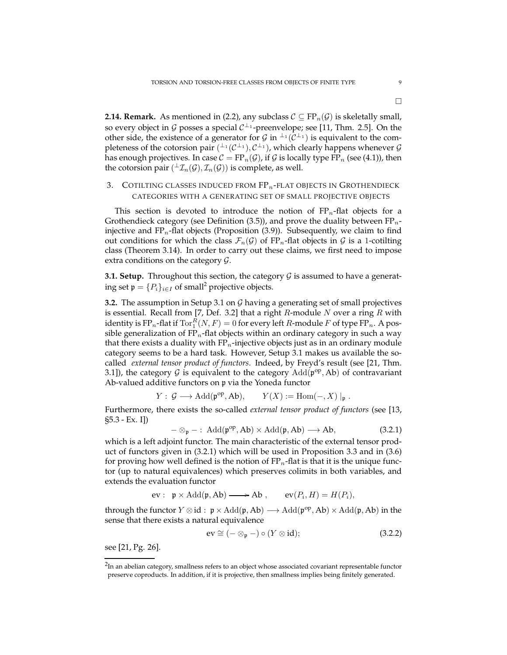**2.14. Remark.** As mentioned in (2.2), any subclass  $C \subseteq FP_n(\mathcal{G})$  is skeletally small, so every object in  $G$  posses a special  $C^{\perp_1}$ -preenvelope; see [11, Thm. 2.5]. On the other side, the existence of a generator for  $G$  in  $\perp^1(\mathcal{C}^{\perp_1})$  is equivalent to the completeness of the cotorsion pair  $($  $^{\perp_1}$  $($  $\mathcal{C}^{\perp_1}$  $),$   $\mathcal{C}^{\perp_1}$  $),$  which clearly happens whenever  $\mathcal G$ has enough projectives. In case  $C = FP_n(\mathcal{G})$ , if  $\mathcal G$  is locally type FP<sub>n</sub> (see (4.1)), then the cotorsion pair  $(\perp \mathcal{I}_n(\mathcal{G}), \mathcal{I}_n(\mathcal{G}))$  is complete, as well.

# 3. COTILTING CLASSES INDUCED FROM  $FP_n$ -FLAT OBJECTS IN GROTHENDIECK CATEGORIES WITH A GENERATING SET OF SMALL PROJECTIVE OBJECTS

This section is devoted to introduce the notion of  $FP_n$ -flat objects for a Grothendieck category (see Definition  $(3.5)$ ), and prove the duality between  $FP_n$ injective and  $FP_n$ -flat objects (Proposition (3.9)). Subsequently, we claim to find out conditions for which the class  $\mathcal{F}_n(\mathcal{G})$  of FP<sub>n</sub>-flat objects in  $\mathcal{G}$  is a 1-cotilting class (Theorem 3.14). In order to carry out these claims, we first need to impose extra conditions on the category  $\mathcal{G}$ .

**3.1. Setup.** Throughout this section, the category  $G$  is assumed to have a generating set  $\mathfrak{p} = \{P_i\}_{i \in I}$  of small<sup>2</sup> projective objects.

**3.2.** The assumption in Setup 3.1 on G having a generating set of small projectives is essential. Recall from [7, Def. 3.2] that a right  $R$ -module  $N$  over a ring  $R$  with identity is FP<sub>n</sub>-flat if  $\operatorname{Tor}^R_1(N,F)=0$  for every left  $R$ -module  $F$  of type FP<sub>n</sub>. A possible generalization of  $FP_n$ -flat objects within an ordinary category in such a way that there exists a duality with  $FP_n$ -injective objects just as in an ordinary module category seems to be a hard task. However, Setup 3.1 makes us available the socalled *external tensor product of functors*. Indeed, by Freyd's result (see [21, Thm. 3.1]), the category G is equivalent to the category  $Add(p^{op}, Ab)$  of contravariant Ab-valued additive functors on p via the Yoneda functor

$$
Y: \mathcal{G} \longrightarrow \text{Add}(\mathfrak{p}^{op}, Ab), \qquad Y(X) := \text{Hom}(-, X) \mid_{\mathfrak{p}}.
$$

Furthermore, there exists the so-called *external tensor product of functors* (see [13, §5.3 - Ex. I])

$$
-\otimes_{\mathfrak{p}}-:\,\mathrm{Add}(\mathfrak{p}^{op},Ab)\times \mathrm{Add}(\mathfrak{p},Ab)\longrightarrow Ab,\qquad \qquad \textbf{(3.2.1)}
$$

which is a left adjoint functor. The main characteristic of the external tensor product of functors given in (3.2.1) which will be used in Proposition 3.3 and in (3.6) for proving how well defined is the notion of  $FP_n$ -flat is that it is the unique functor (up to natural equivalences) which preserves colimits in both variables, and extends the evaluation functor

$$
ev: \ \mathfrak{p} \times \mathrm{Add}(\mathfrak{p}, Ab) \longrightarrow Ab \ , \qquad ev(P_i, H) = H(P_i),
$$

through the functor  $Y \otimes id : \mathfrak{p} \times \text{Add}(\mathfrak{p},Ab) \longrightarrow \text{Add}(\mathfrak{p}^{op},Ab) \times \text{Add}(\mathfrak{p},Ab)$  in the sense that there exists a natural equivalence

$$
ev \cong (-\otimes_{\mathfrak{p}}-) \circ (Y \otimes id); \qquad (3.2.2)
$$

see [21, Pg. 26].

 $2$ In an abelian category, smallness refers to an object whose associated covariant representable functor preserve coproducts. In addition, if it is projective, then smallness implies being finitely generated.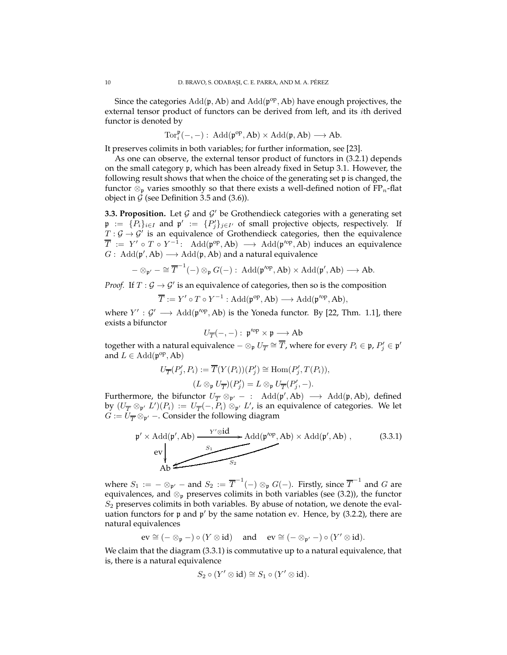Since the categories  $Add(p, Ab)$  and  $Add(p^{op}, Ab)$  have enough projectives, the external tensor product of functors can be derived from left, and its ith derived functor is denoted by

$$
\operatorname{Tor}_i^{\mathfrak{p}}(-,-):\; \operatorname{Add}(\mathfrak{p}^{op},\operatorname{Ab})\times \operatorname{Add}(\mathfrak{p},\operatorname{Ab})\longrightarrow \operatorname{Ab}.
$$

It preserves colimits in both variables; for further information, see [23].

As one can observe, the external tensor product of functors in (3.2.1) depends on the small category p, which has been already fixed in Setup 3.1. However, the following result shows that when the choice of the generating set p is changed, the functor  $\otimes_{\mathfrak{p}}$  varies smoothly so that there exists a well-defined notion of FP<sub>n</sub>-flat object in  $G$  (see Definition 3.5 and (3.6)).

**3.3. Proposition.** Let  $G$  and  $G'$  be Grothendieck categories with a generating set  $\mathfrak{p} := \{P_i\}_{i \in I}$  and  $\mathfrak{p}' := \{P'_j\}_{j \in I'}$  of small projective objects, respectively. If  $T: \mathcal{G} \to \mathcal{G}'$  is an equivalence of Grothendieck categories, then the equivalence  $\overline{T}$  :=  $Y' \circ T \circ Y^{-1}$ : Add(p<sup>op</sup>, Ab)  $\longrightarrow$  Add(p<sup>/op</sup>, Ab) induces an equivalence  $G: \text{Add}(\mathfrak{p}', \text{Ab}) \longrightarrow \text{Add}(\mathfrak{p}, \text{Ab})$  and a natural equivalence

$$
-\otimes_{\mathfrak{p}'} - \cong \overline{T}^{-1}(-) \otimes_{\mathfrak{p}} G(-): \ \mathrm{Add}(\mathfrak{p}'^{op}, Ab) \times \mathrm{Add}(\mathfrak{p}', Ab) \longrightarrow Ab.
$$

*Proof.* If  $T : \mathcal{G} \to \mathcal{G}'$  is an equivalence of categories, then so is the composition

$$
\overline{T} := Y' \circ T \circ Y^{-1} : \text{Add}(\mathfrak{p}^{op}, \text{Ab}) \longrightarrow \text{Add}(\mathfrak{p}'^{op}, \text{Ab}),
$$

where  $Y' : \mathcal{G}' \longrightarrow \text{Add}(\mathfrak{p}'^{\text{op}}, \text{Ab})$  is the Yoneda functor. By [22, Thm. 1.1], there exists a bifunctor

$$
U_{\overline{T}}(-,-):\, \mathfrak{p}'^{\mathrm{op}}\times \mathfrak{p}\longrightarrow \mathrm{Ab}
$$

together with a natural equivalence  $-\otimes_{\mathfrak{p}}U_{\overline{T}}\cong \overline{T}$ , where for every  $P_i\in \mathfrak{p}, P'_j\in \mathfrak{p}'$ and  $L \in \text{Add}(\mathfrak{p}^{\text{op}}, \text{Ab})$ 

$$
U_{\overline{T}}(P'_j, P_i) := \overline{T}(Y(P_i))(P'_j) \cong \text{Hom}(P'_j, T(P_i)),
$$
  

$$
(L \otimes_{\mathfrak{p}} U_{\overline{T}})(P'_j) = L \otimes_{\mathfrak{p}} U_{\overline{T}}(P'_j, -).
$$

Furthermore, the bifunctor  $U_{\overline{T}} \otimes_{\mathfrak{p}'} -$  : Add $(\mathfrak{p}', Ab) \longrightarrow$  Add $(\mathfrak{p}, Ab)$ , defined by  $(U_{\overline T}\otimes_{\mathfrak{p}'} L')(P_i) := U_{\overline T}(-,P_i)\otimes_{\mathfrak{p}'} L'$ , is an equivalence of categories. We let  $G := U_{\overline{T}} \otimes_{\mathfrak{p}'} -$ . Consider the following diagram

$$
\mathfrak{p}' \times \text{Add}(\mathfrak{p}', Ab) \xrightarrow{Y' \otimes id} \text{Add}(\mathfrak{p}'^{\text{op}}, Ab) \times \text{Add}(\mathfrak{p}', Ab) ,
$$
 (3.3.1)  
ev  
Ab

where  $S_1 := -\otimes_{\mathfrak{p}'} -$  and  $S_2 := \overline{T}^{-1}(-) \otimes_{\mathfrak{p}} G(-)$ . Firstly, since  $\overline{T}^{-1}$  and  $G$  are equivalences, and  $\otimes_p$  preserves colimits in both variables (see (3.2)), the functor  $S<sub>2</sub>$  preserves colimits in both variables. By abuse of notation, we denote the evaluation functors for p and p' by the same notation ev. Hence, by (3.2.2), there are natural equivalences

$$
ev \cong (-\otimes_{\mathfrak{p}}-) \circ (Y \otimes id) \quad \text{ and } \quad ev \cong (-\otimes_{\mathfrak{p}'}-) \circ (Y' \otimes id).
$$

We claim that the diagram (3.3.1) is commutative up to a natural equivalence, that is, there is a natural equivalence

$$
S_2 \circ (Y' \otimes id) \cong S_1 \circ (Y' \otimes id).
$$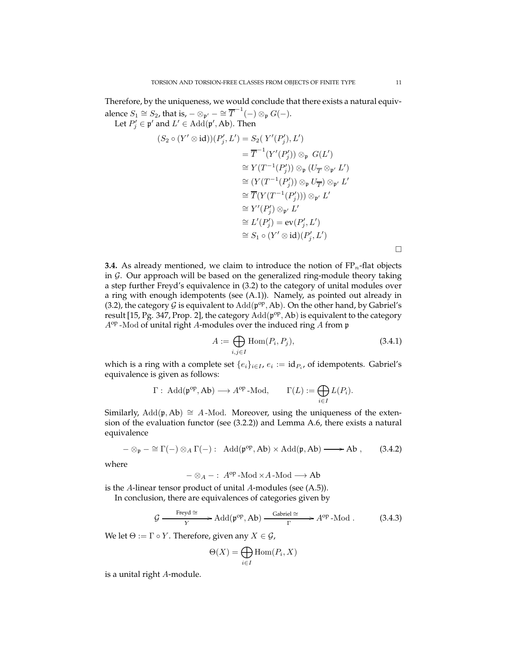Therefore, by the uniqueness, we would conclude that there exists a natural equivalence  $S_1 \cong S_2$ , that is,  $-\otimes_{\mathfrak{p}'} - \cong \overline{T}^{-1}(-) \otimes_{\mathfrak{p}} G(-)$ . Let  $P'_j \in \mathfrak{p}'$  and  $L' \in \text{Add}(\mathfrak{p}', \text{Ab})$ . Then

$$
(S_2 \circ (Y' \otimes id))(P'_j, L') = S_2(Y'(P'_j), L')
$$
  
\n
$$
= \overline{T}^{-1}(Y'(P'_j)) \otimes_{\mathfrak{p}} G(L')
$$
  
\n
$$
\cong Y(T^{-1}(P'_j)) \otimes_{\mathfrak{p}} (U_{\overline{T}} \otimes_{\mathfrak{p}'} L')
$$
  
\n
$$
\cong (Y(T^{-1}(P'_j)) \otimes_{\mathfrak{p}} U_{\overline{T}}) \otimes_{\mathfrak{p}'} L'
$$
  
\n
$$
\cong \overline{T}(Y(T^{-1}(P'_j))) \otimes_{\mathfrak{p}'} L'
$$
  
\n
$$
\cong Y'(P'_j) \otimes_{\mathfrak{p}'} L'
$$
  
\n
$$
\cong L'(P'_j) = \text{ev}(P'_j, L')
$$
  
\n
$$
\cong S_1 \circ (Y' \otimes id)(P'_j, L')
$$

**3.4.** As already mentioned, we claim to introduce the notion of  $FP_n$ -flat objects in  $G$ . Our approach will be based on the generalized ring-module theory taking a step further Freyd's equivalence in (3.2) to the category of unital modules over a ring with enough idempotents (see (A.1)). Namely, as pointed out already in (3.2), the category  $G$  is equivalent to  $Add(p^{op}, Ab)$ . On the other hand, by Gabriel's result [15, Pg. 347, Prop. 2], the category  $Add(p^{op}, Ab)$  is equivalent to the category  $A^{op}$ -Mod of unital right A-modules over the induced ring A from p

$$
A := \bigoplus_{i,j \in I} \text{Hom}(P_i, P_j),\tag{3.4.1}
$$

which is a ring with a complete set  $\{e_i\}_{i \in I}$ ,  $e_i := \text{id}_{P_i}$ , of idempotents. Gabriel's equivalence is given as follows:

$$
\Gamma: \text{Add}(\mathfrak{p}^{op}, Ab) \longrightarrow A^{op} \text{-Mod}, \qquad \Gamma(L) := \bigoplus_{i \in I} L(P_i).
$$

Similarly, Add(p, Ab)  $\cong$  A-Mod. Moreover, using the uniqueness of the extension of the evaluation functor (see (3.2.2)) and Lemma A.6, there exists a natural equivalence

$$
-\otimes_{\mathfrak{p}} - \cong \Gamma(-) \otimes_A \Gamma(-): \text{ Add}(\mathfrak{p}^{op}, Ab) \times \text{Add}(\mathfrak{p}, Ab) \longrightarrow Ab , \qquad (3.4.2)
$$

where

 $-\otimes_A -: A^{op}$ -Mod × A-Mod  $\longrightarrow$  Ab

is the A-linear tensor product of unital A-modules (see (A.5)).

In conclusion, there are equivalences of categories given by

$$
\mathcal{G} \xrightarrow{\text{Freyd} \cong} \text{Add}(\mathfrak{p}^{op}, Ab) \xrightarrow{\text{Gabriel} \cong} A^{op} \text{-Mod} . \tag{3.4.3}
$$

We let  $\Theta := \Gamma \circ Y$ . Therefore, given any  $X \in \mathcal{G}$ ,

$$
\Theta(X) = \bigoplus_{i \in I} \text{Hom}(P_i, X)
$$

is a unital right A-module.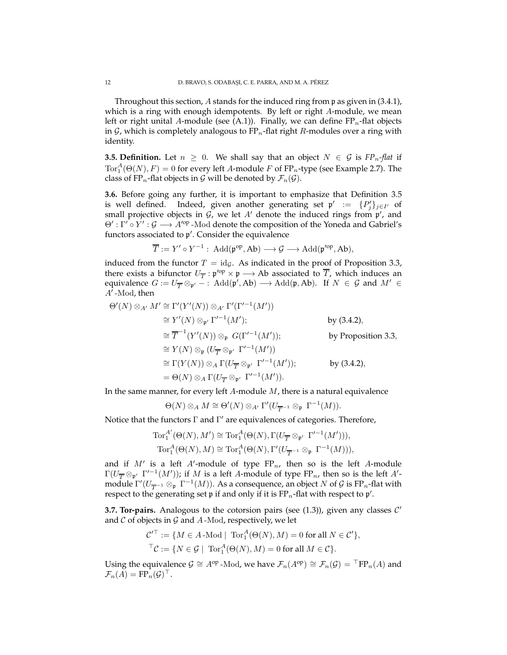Throughout this section, A stands for the induced ring from p as given in (3.4.1), which is a ring with enough idempotents. By left or right A-module, we mean left or right unital A-module (see (A.1)). Finally, we can define  $FP_n$ -flat objects in  $G$ , which is completely analogous to FP<sub>n</sub>-flat right R-modules over a ring with identity.

**3.5. Definition.** Let  $n \geq 0$ . We shall say that an object  $N \in \mathcal{G}$  is  $FP_n$ -flat if  $\operatorname{Tor}^A_1(\Theta(N),F)=0$  for every left A-module  $F$  of  $\operatorname{FP}_n$ -type (see Example 2.7). The class of FP<sub>n</sub>-flat objects in  $G$  will be denoted by  $\mathcal{F}_n(G)$ .

**3.6.** Before going any further, it is important to emphasize that Definition 3.5 is well defined. Indeed, given another generating set  $\mathfrak{p}' := \{P'_j\}_{j \in I'}$  of small projective objects in  $G$ , we let  $A'$  denote the induced rings from  $\mathfrak{p}'$ , and  $\Theta'$ : Γ'  $\circ$  Υ' :  $\mathcal{G} \longrightarrow A'^{\text{op}}$  -Mod denote the composition of the Yoneda and Gabriel's functors associated to p ′ . Consider the equivalence

$$
\overline{T} := Y' \circ Y^{-1} : \text{Add}(\mathfrak{p}^{op}, Ab) \longrightarrow \mathcal{G} \longrightarrow \text{Add}(\mathfrak{p}'^{op}, Ab),
$$

induced from the functor  $T = id_{\mathcal{G}}$ . As indicated in the proof of Proposition 3.3, there exists a bifunctor  $U_{\overline{T}}: \mathfrak{p}'^{\text{op}} \times \mathfrak{p} \longrightarrow \text{Ab}$  associated to  $\overline{T}$ , which induces an equivalence  $G := U_{\overline{T}} \otimes_{\mathfrak{p'}} \overline{\phantom{a}}$ : Add $(\mathfrak{p}', Ab) \longrightarrow \text{Add}(\mathfrak{p}, Ab)$ . If  $N \in \mathcal{G}$  and  $M' \in$  $A^7$ -Mod, then

$$
\Theta'(N) \otimes_{A'} M' \cong \Gamma'(Y'(N)) \otimes_{A'} \Gamma'(\Gamma'^{-1}(M'))
$$
  
\n
$$
\cong Y'(N) \otimes_{\mathfrak{p}'} \Gamma'^{-1}(M');
$$
  
\n
$$
\cong \overline{T}^{-1}(Y'(N)) \otimes_{\mathfrak{p}} G(\Gamma'^{-1}(M'));
$$
  
\n
$$
\cong Y(N) \otimes_{\mathfrak{p}} (U_{\overline{T}} \otimes_{\mathfrak{p}'} \Gamma'^{-1}(M'))
$$
  
\n
$$
\cong \Gamma(Y(N)) \otimes_A \Gamma(U_{\overline{T}} \otimes_{\mathfrak{p}'} \Gamma'^{-1}(M'));
$$
  
\n
$$
= \Theta(N) \otimes_A \Gamma(U_{\overline{T}} \otimes_{\mathfrak{p}'} \Gamma'^{-1}(M')).
$$
  
\nby (3.4.2),  
\nby (3.4.2),

In the same manner, for every left  $A$ -module  $M$ , there is a natural equivalence

$$
\Theta(N)\otimes_AM\cong\Theta'(N)\otimes_{A'}\Gamma'(U_{\overline{T}^{-1}}\otimes_{\mathfrak{p}}\Gamma^{-1}(M)).
$$

Notice that the functors Γ and Γ ′ are equivalences of categories. Therefore,

$$
\operatorname{Tor}_1^{A'}(\Theta(N), M') \cong \operatorname{Tor}_1^{A}(\Theta(N), \Gamma(U_{\overline{T}} \otimes_{\mathfrak{p}'} \Gamma'^{-1}(M'))),
$$
  

$$
\operatorname{Tor}_1^{A}(\Theta(N), M) \cong \operatorname{Tor}_1^{A}(\Theta(N), \Gamma'(U_{\overline{T}^{-1}} \otimes_{\mathfrak{p}} \Gamma^{-1}(M))),
$$

and if  $M'$  is a left  $A'$ -module of type  $FP_n$ , then so is the left  $A$ -module  $\Gamma(U_{\overline T}\otimes_{{\frak p}'}\Gamma'^{-1}(M'))$ ; if  $M$  is a left A-module of type FP<sub>n</sub>, then so is the left A'module  $\Gamma'(U_{\overline{T}^{-1}}\otimes_{\frak{p}}\Gamma^{-1}(M)).$  As a consequence, an object  $N$  of  ${\mathcal G}$  is FP<sub>n</sub>-flat with respect to the generating set  $\mathfrak p$  if and only if it is FP<sub>n</sub>-flat with respect to  $\mathfrak p'.$ 

**3.7. Tor-pairs.** Analogous to the cotorsion pairs (see  $(1.3)$ ), given any classes  $C'$ and  $C$  of objects in  $G$  and  $A$ -Mod, respectively, we let

$$
\mathcal{C}'^{\top} := \{ M \in A \text{-Mod} \mid \text{Tor}_1^A(\Theta(N), M) = 0 \text{ for all } N \in \mathcal{C}' \},
$$
  

$$
{}^{\top}\mathcal{C} := \{ N \in \mathcal{G} \mid \text{Tor}_1^A(\Theta(N), M) = 0 \text{ for all } M \in \mathcal{C} \}.
$$

Using the equivalence  $\mathcal{G} \cong A^{\text{op}}$  -Mod, we have  $\mathcal{F}_n(A^{\text{op}}) \cong \mathcal{F}_n(\mathcal{G}) = {}^{\top}FP_n(A)$  and  $\mathcal{F}_n(A) = \text{FP}_n(\mathcal{G})^{\top}.$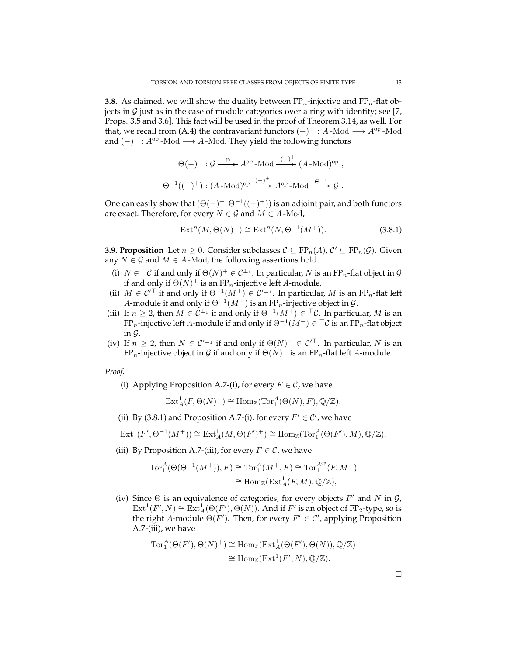**3.8.** As claimed, we will show the duality between  $FP_n$ -injective and  $FP_n$ -flat objects in  $G$  just as in the case of module categories over a ring with identity; see [7, Props. 3.5 and 3.6]. This fact will be used in the proof of Theorem 3.14, as well. For that, we recall from (A.4) the contravariant functors  $(-)^+$  : A-Mod  $\longrightarrow A^{op}$ -Mod and  $(-)^+$ :  $A^{op}$ -Mod  $\longrightarrow$  A-Mod. They yield the following functors

$$
\Theta(-)^+ : \mathcal{G} \xrightarrow{\Theta} A^{\text{op}} - \text{Mod} \xrightarrow{(-)^+} (A - \text{Mod})^{\text{op}} ,
$$
  

$$
\Theta^{-1}((-)^+) : (A - \text{Mod})^{\text{op}} \xrightarrow{(-)^+} A^{\text{op}} - \text{Mod} \xrightarrow{\Theta^{-1}} \mathcal{G} .
$$

One can easily show that  $(\Theta(-)^+,\Theta^{-1}((-)^+))$  is an adjoint pair, and both functors are exact. Therefore, for every  $N \in \mathcal{G}$  and  $M \in A$ -Mod,

$$
\operatorname{Ext}^n(M, \Theta(N)^+) \cong \operatorname{Ext}^n(N, \Theta^{-1}(M^+)).\tag{3.8.1}
$$

**3.9. Proposition** Let  $n \geq 0$ . Consider subclasses  $C \subseteq FP_n(A)$ ,  $C' \subseteq FP_n(G)$ . Given any  $N \in \mathcal{G}$  and  $M \in A$ -Mod, the following assertions hold.

- (i)  $N \in \overline{\phantom{x}}^{\top} \mathcal{C}$  if and only if  $\Theta(N)^+ \in \mathcal{C}^{\perp_1}$ . In particular,  $N$  is an FP<sub>n</sub>-flat object in  $\mathcal{G}$ if and only if  $\Theta(N)^+$  is an FP<sub>n</sub>-injective left A-module.
- (ii)  $M \in \mathcal{C}'^{\top}$  if and only if  $\Theta^{-1}(M^+) \in \mathcal{C}'^{\perp_1}$ . In particular, M is an FP<sub>n</sub>-flat left A-module if and only if  $\Theta^{-1}(M^+)$  is an FP<sub>n</sub>-injective object in  $\mathcal{G}$ .
- (iii) If  $n \geq 2$ , then  $M \in C^{\perp_1}$  if and only if  $\Theta^{-1}(M^+) \in {}^{\top}C$ . In particular, M is an FP $_n$ -injective left  $A$ -module if and only if  $\Theta^{-1}(M^+) \in {}^{\top}{\mathcal C}$  is an FP $_n$ -flat object in  $\mathcal G$ .
- (iv) If  $n \geq 2$ , then  $N \in C'^{\perp_1}$  if and only if  $\Theta(N)^+ \in C'^{\top}$ . In particular, N is an FP<sub>n</sub>-injective object in  $\mathcal G$  if and only if  $\Theta(N)^+$  is an FP<sub>n</sub>-flat left A-module.

*Proof.*

(i) Applying Proposition A.7-(i), for every  $F \in \mathcal{C}$ , we have

 $\text{Ext}^1_A(F,\Theta(N)^+) \cong \text{Hom}_{\mathbb{Z}}(\text{Tor}_1^A(\Theta(N),F),\mathbb{Q}/\mathbb{Z}).$ 

(ii) By (3.8.1) and Proposition A.7-(i), for every  $F' \in \mathcal{C}'$ , we have

$$
\operatorname{Ext}^1(F', \Theta^{-1}(M^+)) \cong \operatorname{Ext}^1_A(M, \Theta(F')^+) \cong \operatorname{Hom}_{\mathbb{Z}}(\operatorname{Tor}_1^A(\Theta(F'), M), \mathbb{Q}/\mathbb{Z}).
$$

(iii) By Proposition A.7-(iii), for every  $F \in \mathcal{C}$ , we have

$$
Tor_1^A(\Theta(\Theta^{-1}(M^+)), F) \cong Tor_1^A(M^+, F) \cong Tor_1^{A^{op}}(F, M^+)
$$
  

$$
\cong Hom_{\mathbb{Z}}(Ext_A^1(F, M), \mathbb{Q}/\mathbb{Z}),
$$

(iv) Since  $\Theta$  is an equivalence of categories, for every objects  $F'$  and  $N$  in  $\mathcal{G}$ ,  $\mathrm{Ext}^1(F',N)\cong \mathrm{Ext}^1_A(\Theta(F'),\Theta(N)).$  And if  $F'$  is an object of FP<sub>2</sub>-type, so is the right A-module  $\Theta(F')$ . Then, for every  $F' \in \mathcal{C}'$ , applying Proposition A.7-(iii), we have

$$
Tor_1^A(\Theta(F'), \Theta(N)^+) \cong \text{Hom}_{\mathbb{Z}}(\text{Ext}_A^1(\Theta(F'), \Theta(N)), \mathbb{Q}/\mathbb{Z})
$$
  

$$
\cong \text{Hom}_{\mathbb{Z}}(\text{Ext}^1(F', N), \mathbb{Q}/\mathbb{Z}).
$$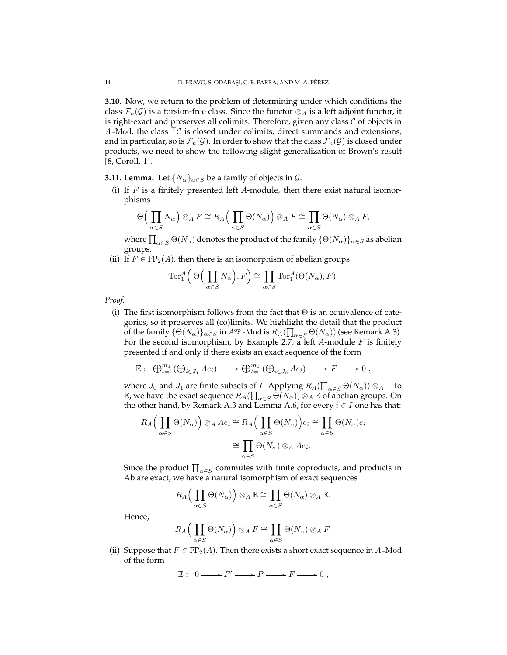**3.10.** Now, we return to the problem of determining under which conditions the class  $\mathcal{F}_n(\mathcal{G})$  is a torsion-free class. Since the functor  $\otimes_A$  is a left adjoint functor, it is right-exact and preserves all colimits. Therefore, given any class  $C$  of objects in A-Mod, the class  $\lceil \mathcal{C} \rceil$  is closed under colimits, direct summands and extensions, and in particular, so is  $\mathcal{F}_n(\mathcal{G})$ . In order to show that the class  $\mathcal{F}_n(\mathcal{G})$  is closed under products, we need to show the following slight generalization of Brown's result [8, Coroll. 1].

**3.11. Lemma.** Let  $\{N_{\alpha}\}_{{\alpha}\in S}$  be a family of objects in  $\mathcal{G}$ .

(i) If  $F$  is a finitely presented left  $A$ -module, then there exist natural isomorphisms

$$
\Theta\Big(\prod_{\alpha\in S}N_{\alpha}\Big)\otimes_A F\cong R_A\Big(\prod_{\alpha\in S}\Theta(N_{\alpha})\Big)\otimes_A F\cong \prod_{\alpha\in S}\Theta(N_{\alpha})\otimes_A F,
$$

where  $\prod_{\alpha\in S}\Theta(N_\alpha)$  denotes the product of the family  $\{\Theta(N_\alpha)\}_{\alpha\in S}$  as abelian groups.

(ii) If  $F \in \text{FP}_2(A)$ , then there is an isomorphism of abelian groups

$$
\operatorname{Tor}_1^A\Big(\Theta\Big(\prod_{\alpha\in S}N_{\alpha}\Big),F\Big)\cong \prod_{\alpha\in S}\operatorname{Tor}_1^A(\Theta(N_{\alpha}),F).
$$

*Proof.*

(i) The first isomorphism follows from the fact that  $\Theta$  is an equivalence of categories, so it preserves all (co)limits. We highlight the detail that the product of the family  $\{\Theta(N_\alpha)\}_{\alpha \in S}$  in  $A^{\rm op}$  -Mod is  $R_A(\prod_{\alpha \in S} \Theta(N_\alpha))$  (see Remark A.3). For the second isomorphism, by Example 2.7, a left A-module  $F$  is finitely presented if and only if there exists an exact sequence of the form

$$
\mathbb{E}: \ \bigoplus_{t=1}^{m_1} (\bigoplus_{i \in J_1} A e_i) \longrightarrow \bigoplus_{t=1}^{m_0} (\bigoplus_{i \in J_0} A e_i) \longrightarrow F \longrightarrow 0 ,
$$

where  $J_0$  and  $J_1$  are finite subsets of I. Applying  $R_A(\prod_{\alpha\in S}\Theta(N_\alpha))\otimes_A -$  to  $\mathbb E$ , we have the exact sequence  $R_A(\prod_{\alpha\in S}\Theta(N_\alpha))\otimes_A\mathbb E$  of abelian groups. On the other hand, by Remark A.3 and Lemma A.6, for every  $i \in I$  one has that:

$$
R_A\Big(\prod_{\alpha\in S}\Theta(N_\alpha)\Big)\otimes_A Ae_i \cong R_A\Big(\prod_{\alpha\in S}\Theta(N_\alpha)\Big)e_i \cong \prod_{\alpha\in S}\Theta(N_\alpha)e_i
$$

$$
\cong \prod_{\alpha\in S}\Theta(N_\alpha)\otimes_A Ae_i.
$$

Since the product  $\prod_{\alpha\in S}$  commutes with finite coproducts, and products in Ab are exact, we have a natural isomorphism of exact sequences

$$
R_A\Big(\prod_{\alpha\in S}\Theta(N_\alpha)\Big)\otimes_A \mathbb{E}\cong \prod_{\alpha\in S}\Theta(N_\alpha)\otimes_A \mathbb{E}.
$$

Hence,

$$
R_A\Big(\prod_{\alpha\in S}\Theta(N_\alpha)\Big)\otimes_A F\cong \prod_{\alpha\in S}\Theta(N_\alpha)\otimes_A F.
$$

(ii) Suppose that  $F \in \text{FP}_2(A)$ . Then there exists a short exact sequence in A-Mod of the form

$$
\mathbb{E}: 0 \longrightarrow F' \longrightarrow P \longrightarrow F \longrightarrow 0,
$$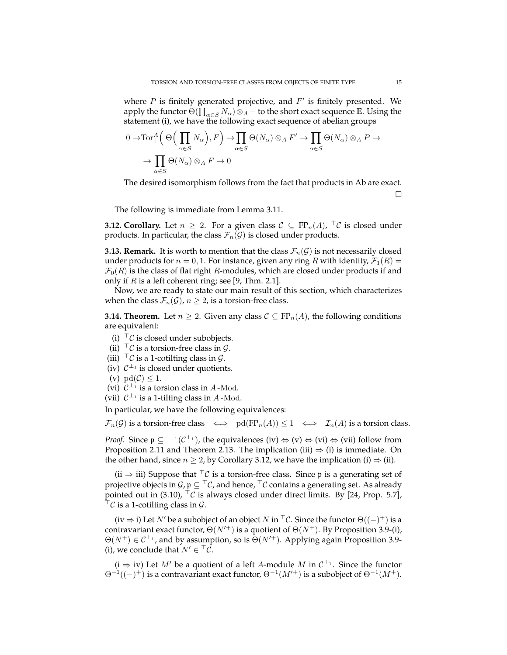where  $P$  is finitely generated projective, and  $F'$  is finitely presented. We apply the functor  $\Theta(\prod_{\alpha\in S}N_\alpha)\otimes_A -$  to the short exact sequence  $\mathbb E.$  Using the statement (i), we have the following exact sequence of abelian groups

$$
0 \to \text{Tor}_1^A \Big( \Theta \Big( \prod_{\alpha \in S} N_\alpha \Big), F \Big) \to \prod_{\alpha \in S} \Theta(N_\alpha) \otimes_A F' \to \prod_{\alpha \in S} \Theta(N_\alpha) \otimes_A P \to
$$

$$
\to \prod_{\alpha \in S} \Theta(N_\alpha) \otimes_A F \to 0
$$

The desired isomorphism follows from the fact that products in Ab are exact.

 $\Box$ 

The following is immediate from Lemma 3.11.

**3.12. Corollary.** Let  $n \geq 2$ . For a given class  $C \subseteq FP_n(A)$ ,  $\ulcorner C$  is closed under products. In particular, the class  $\mathcal{F}_n(\mathcal{G})$  is closed under products.

**3.13. Remark.** It is worth to mention that the class  $\mathcal{F}_n(\mathcal{G})$  is not necessarily closed under products for  $n = 0, 1$ . For instance, given any ring R with identity,  $\mathcal{F}_1(R) =$  $\mathcal{F}_0(R)$  is the class of flat right R-modules, which are closed under products if and only if  $R$  is a left coherent ring; see [9, Thm. 2.1].

Now, we are ready to state our main result of this section, which characterizes when the class  $\mathcal{F}_n(\mathcal{G})$ ,  $n \geq 2$ , is a torsion-free class.

**3.14. Theorem.** Let  $n \geq 2$ . Given any class  $C \subseteq \mathrm{FP}_n(A)$ , the following conditions are equivalent:

- (i)  $\ulcorner \mathcal{C}$  is closed under subobjects.
- (ii)  $\top$ *C* is a torsion-free class in *G*.
- (iii)  $\top \mathcal{C}$  is a 1-cotilting class in  $\mathcal{G}$ .
- (iv)  $C^{\perp_1}$  is closed under quotients.
- (v)  $\text{pd}(\mathcal{C}) \leq 1$ .
- (vi)  $C^{\perp_1}$  is a torsion class in A-Mod.

(vii)  $C^{\perp_1}$  is a 1-tilting class in A-Mod.

In particular, we have the following equivalences:

 $\mathcal{F}_n(\mathcal{G})$  is a torsion-free class  $\iff \text{pd}(\text{FP}_n(A)) \leq 1 \iff \mathcal{I}_n(A)$  is a torsion class.

*Proof.* Since  $\mathfrak{p} \subseteq {}^{\perp_1}(\mathcal{C}^{\perp_1})$ , the equivalences (iv)  $\Leftrightarrow$  (v)  $\Leftrightarrow$  (vi)  $\Leftrightarrow$  (vii) follow from Proposition 2.11 and Theorem 2.13. The implication (iii)  $\Rightarrow$  (i) is immediate. On the other hand, since  $n \geq 2$ , by Corollary 3.12, we have the implication (i)  $\Rightarrow$  (ii).

(ii  $\Rightarrow$  iii) Suppose that <sup>⊤</sup>C is a torsion-free class. Since p is a generating set of projective objects in  $\mathcal{G}, \mathfrak{p} \subseteq \ulcorner \mathcal{C}$ , and hence,  $\ulcorner \mathcal{C}$  contains a generating set. As already pointed out in (3.10),  $\ulcorner \mathcal{C}$  is always closed under direct limits. By [24, Prop. 5.7],  ${}^{\top} \mathcal{C}$  is a 1-cotilting class in  $\mathcal{G}.$ 

(iv  $\Rightarrow$  i) Let  $N'$  be a subobject of an object  $N$  in  $\ulcorner \mathcal{C}$ . Since the functor  $\Theta((-)^+)$  is a contravariant exact functor,  $\Theta(N^{+})$  is a quotient of  $\Theta(N^{+})$ . By Proposition 3.9-(i),  $\Theta(N^+) \in C^{\perp_1}$ , and by assumption, so is  $\Theta(N'^+)$ . Applying again Proposition 3.9-(i), we conclude that  $N' \in {}^{\top}C$ .

 $(i \Rightarrow iv)$  Let M' be a quotient of a left A-module M in  $C^{\perp_1}$ . Since the functor  $\Theta^{-1}((-)^+)$  is a contravariant exact functor,  $\Theta^{-1}(M'^+)$  is a subobject of  $\Theta^{-1}(M^+)$ .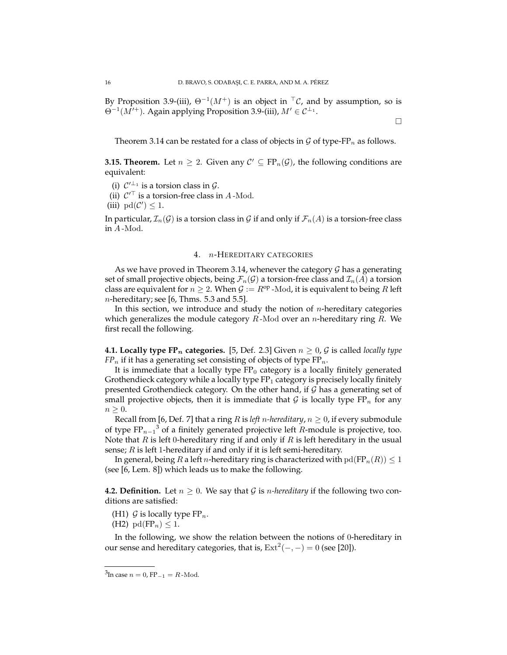By Proposition 3.9-(iii),  $\Theta^{-1}(M^+)$  is an object in  $\Gamma \mathcal{C}$ , and by assumption, so is  $\Theta^{-1}(M'^+)$ . Again applying Proposition 3.9-(iii),  $M' \in C^{\perp_1}$ .

Theorem 3.14 can be restated for a class of objects in  $\mathcal G$  of type-FP<sub>n</sub> as follows.

**3.15. Theorem.** Let  $n \geq 2$ . Given any  $\mathcal{C}' \subseteq FP_n(\mathcal{G})$ , the following conditions are equivalent:

- (i)  $C'^{\perp_1}$  is a torsion class in  $\mathcal{G}$ .
- (ii)  $C^{\prime \top}$  is a torsion-free class in A-Mod.
- (iii)  $pd(C') \leq 1$ .

In particular,  $\mathcal{I}_n(\mathcal{G})$  is a torsion class in  $\mathcal{G}$  if and only if  $\mathcal{F}_n(A)$  is a torsion-free class in A -Mod.

# 4. n-HEREDITARY CATEGORIES

As we have proved in Theorem 3.14, whenever the category  $\mathcal G$  has a generating set of small projective objects, being  $\mathcal{F}_n(\mathcal{G})$  a torsion-free class and  $\mathcal{I}_n(A)$  a torsion class are equivalent for  $n \geq 2$ . When  $\mathcal{G} := R^{\rm op}$  -Mod, it is equivalent to being R left  $n$ -hereditary; see [6, Thms. 5.3 and 5.5].

In this section, we introduce and study the notion of  $n$ -hereditary categories which generalizes the module category  $R$ -Mod over an *n*-hereditary ring  $R$ . We first recall the following.

**4.1. Locally type FP**<sub>n</sub> **categories.** [5, Def. 2.3] Given  $n \geq 0$ , G is called *locally type*  $FP_n$  if it has a generating set consisting of objects of type  $FP_n$ .

It is immediate that a locally type  $FP_0$  category is a locally finitely generated Grothendieck category while a locally type  $FP_1$  category is precisely locally finitely presented Grothendieck category. On the other hand, if  $\mathcal G$  has a generating set of small projective objects, then it is immediate that G is locally type  $FP_n$  for any  $n \geq 0$ .

Recall from [6, Def. 7] that a ring *R* is *left n-hereditary*,  $n \geq 0$ , if every submodule of type  $\text{FP}_{n-1}^3$  of a finitely generated projective left R-module is projective, too. Note that  $R$  is left 0-hereditary ring if and only if  $R$  is left hereditary in the usual sense;  $R$  is left 1-hereditary if and only if it is left semi-hereditary.

In general, being R a left n-hereditary ring is characterized with  $pd(FP_n(R)) \leq 1$ (see [6, Lem. 8]) which leads us to make the following.

**4.2. Definition.** Let  $n \geq 0$ . We say that G is *n-hereditary* if the following two conditions are satisfied:

(H1)  $\mathcal G$  is locally type FP<sub>n</sub>.

(H2)  $\text{pd}(FP_n) \leq 1$ .

In the following, we show the relation between the notions of 0-hereditary in our sense and hereditary categories, that is,  $\text{Ext}^2(-, -) = 0$  (see [20]).

 $\Box$ 

<sup>&</sup>lt;sup>3</sup>In case  $n = 0$ , FP<sub>-1</sub> = R-Mod.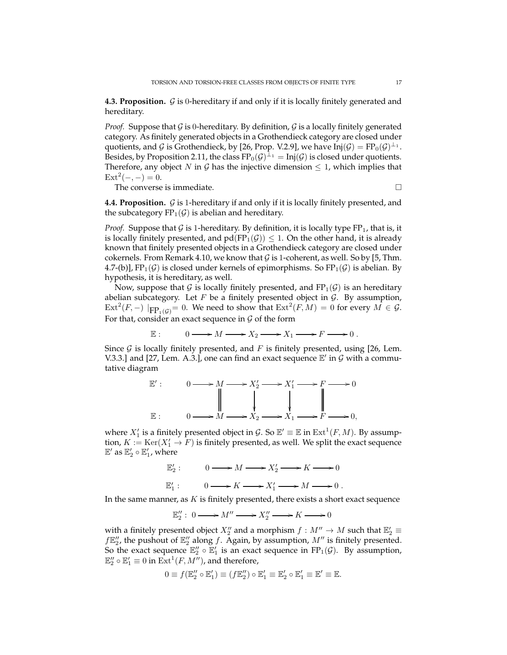**4.3. Proposition.** G is 0-hereditary if and only if it is locally finitely generated and hereditary.

*Proof.* Suppose that  $G$  is 0-hereditary. By definition,  $G$  is a locally finitely generated category. As finitely generated objects in a Grothendieck category are closed under quotients, and G is Grothendieck, by [26, Prop. V.2.9], we have  $Inj(\mathcal{G}) = FP_0(\mathcal{G})^{\perp_1}$ . Besides, by Proposition 2.11, the class  $FP_0(\mathcal{G})^{\perp_1} = Inj(\mathcal{G})$  is closed under quotients. Therefore, any object N in G has the injective dimension  $\leq 1$ , which implies that  $Ext<sup>2</sup>(-, -) = 0.$ 

The converse is immediate.  $\hfill \square$ 

**4.4. Proposition.** G is 1-hereditary if and only if it is locally finitely presented, and the subcategory  $FP_1(\mathcal{G})$  is abelian and hereditary.

*Proof.* Suppose that G is 1-hereditary. By definition, it is locally type  $FP_1$ , that is, it is locally finitely presented, and  $pd(FP_1(\mathcal{G})) \leq 1$ . On the other hand, it is already known that finitely presented objects in a Grothendieck category are closed under cokernels. From Remark 4.10, we know that  $G$  is 1-coherent, as well. So by [5, Thm. 4.7-(b)],  $FP_1(G)$  is closed under kernels of epimorphisms. So  $FP_1(G)$  is abelian. By hypothesis, it is hereditary, as well.

Now, suppose that G is locally finitely presented, and  $FP_1(\mathcal{G})$  is an hereditary abelian subcategory. Let  $F$  be a finitely presented object in  $G$ . By assumption,  $\mathrm{Ext}^2(F, -)$   $|_{\mathrm{FP}_1(\mathcal{G})} = 0$ . We need to show that  $\mathrm{Ext}^2(F, M) = 0$  for every  $M \in \mathcal{G}$ . For that, consider an exact sequence in  $G$  of the form

$$
\mathbb{E}: \qquad 0 \longrightarrow M \longrightarrow X_2 \longrightarrow X_1 \longrightarrow F \longrightarrow 0 \; .
$$

Since  $\mathcal G$  is locally finitely presented, and F is finitely presented, using [26, Lem. V.3.3.] and [27, Lem. A.3.], one can find an exact sequence  $E'$  in  $G$  with a commutative diagram



where  $X'_1$  is a finitely presented object in  $\mathcal{G}$ . So  $\mathbb{E}' \equiv \mathbb{E}$  in  $\mathrm{Ext}^1(F, M)$ . By assumption,  $K := \text{Ker}(X_1' \to \overline{F})$  is finitely presented, as well. We split the exact sequence  $\mathbb{E}'$  as  $\mathbb{E}'_2 \circ \mathbb{E}'_1$ , where



In the same manner, as  $K$  is finitely presented, there exists a short exact sequence

$$
\mathbb{E}''_2:\; 0\longrightarrow M''\longrightarrow X''_2\longrightarrow K\longrightarrow 0
$$

with a finitely presented object  $X''_2$  and a morphism  $f : M'' \to M$  such that  $\mathbb{E}'_2 \equiv$  $f \mathbb{E}''_2$ , the pushout of  $\mathbb{E}''_2$  along f. Again, by assumption,  $M''$  is finitely presented. So the exact sequence  $\mathbb{E}_2'' \circ \mathbb{E}_1'$  is an exact sequence in FP<sub>1</sub>( $\mathcal{G}$ ). By assumption,  $\mathbb{E}''_2\circ \mathbb{E}'_1\equiv 0$  in  $\mathrm{Ext}^1(F,M'')$ , and therefore,

$$
0 \equiv f(\mathbb{E}_2'' \circ \mathbb{E}_1') \equiv (f\mathbb{E}_2'') \circ \mathbb{E}_1' \equiv \mathbb{E}_2' \circ \mathbb{E}_1' \equiv \mathbb{E}' \equiv \mathbb{E}.
$$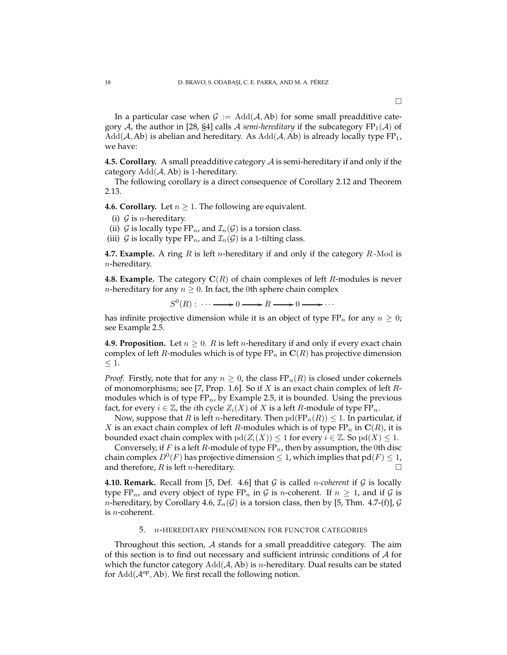In a particular case when  $G := \text{Add}(A, Ab)$  for some small preadditive category A, the author in [28, §4] calls A *semi-hereditary* if the subcategory  $FP_1(\mathcal{A})$  of  $Add(\mathcal{A}, Ab)$  is abelian and hereditary. As  $Add(\mathcal{A}, Ab)$  is already locally type  $FP_1$ , we have:

**4.5. Corollary.** A small preadditive category A is semi-hereditary if and only if the category  $Add(A, Ab)$  is 1-hereditary.

The following corollary is a direct consequence of Corollary 2.12 and Theorem 2.13.

**4.6. Corollary.** Let  $n \geq 1$ . The following are equivalent.

- (i)  $G$  is *n*-hereditary.
- (ii) G is locally type  $FP_n$ , and  $\mathcal{I}_n(\mathcal{G})$  is a torsion class.
- (iii)  $G$  is locally type FP<sub>n</sub>, and  $\mathcal{I}_n(G)$  is a 1-tilting class.

**4.7. Example.** A ring  $R$  is left  $n$ -hereditary if and only if the category  $R$ -Mod is n-hereditary.

**4.8. Example.** The category  $\mathbf{C}(R)$  of chain complexes of left R-modules is never *n*-hereditary for any  $n \geq 0$ . In fact, the 0th sphere chain complex

$$
S^{0}(R): \cdots \longrightarrow 0 \longrightarrow R \longrightarrow 0 \longrightarrow \cdots
$$

has infinite projective dimension while it is an object of type  $FP_n$  for any  $n \geq 0$ ; see Example 2.5.

**4.9. Proposition.** Let  $n \geq 0$ . R is left *n*-hereditary if and only if every exact chain complex of left R-modules which is of type  $\text{FP}_n$  in  $\text{C}(R)$  has projective dimension  $\leq 1$ .

*Proof.* Firstly, note that for any  $n \geq 0$ , the class  $FP_n(R)$  is closed under cokernels of monomorphisms; see [7, Prop. 1.6]. So if X is an exact chain complex of left  $R$ modules which is of type  $FP_n$ , by Example 2.5, it is bounded. Using the previous fact, for every  $i \in \mathbb{Z}$ , the *i*th cycle  $Z_i(X)$  of X is a left R-module of type  $FP_n$ .

Now, suppose that R is left n-hereditary. Then  $pd(FP_n(R)) \leq 1$ . In particular, if X is an exact chain complex of left R-modules which is of type  $\operatorname{FP}_n$  in  $\mathbf{C}(R)$ , it is bounded exact chain complex with  $\text{pd}(Z_i(X)) \leq 1$  for every  $i \in \mathbb{Z}$ . So  $\text{pd}(X) \leq 1$ .

Conversely, if F is a left R-module of type  $FP_n$ , then by assumption, the 0th disc chain complex  $D^0(F)$  has projective dimension  $\leq 1$ , which implies that  $\text{pd}(F) \leq 1$ , and therefore,  $R$  is left  $n$ -hereditary.

**4.10. Remark.** Recall from [5, Def. 4.6] that  $\mathcal{G}$  is called *n*-coherent if  $\mathcal{G}$  is locally type FP<sub>n</sub>, and every object of type FP<sub>n</sub> in G is n-coherent. If  $n \geq 1$ , and if G is *n*-hereditary, by Corollary 4.6,  $\mathcal{I}_n(G)$  is a torsion class, then by [5, Thm. 4.7-(f)],  $G$ is n-coherent.

#### 5. n-HEREDITARY PHENOMENON FOR FUNCTOR CATEGORIES

Throughout this section,  $A$  stands for a small preadditive category. The aim of this section is to find out necessary and sufficient intrinsic conditions of  $A$  for which the functor category  $Add(\mathcal{A}, Ab)$  is *n*-hereditary. Dual results can be stated for  $Add(\mathcal{A}^{op}, Ab)$ . We first recall the following notion.

 $\Box$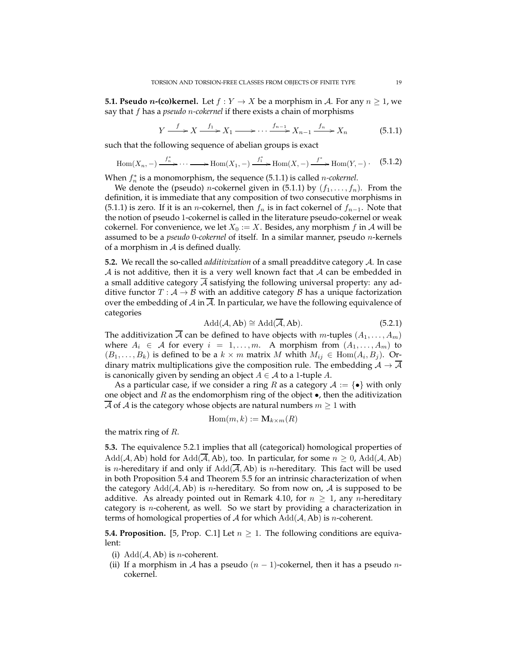**5.1. Pseudo** *n*-(co)kernel. Let  $f: Y \to X$  be a morphism in A. For any  $n \geq 1$ , we say that f has a *pseudo* n*-cokernel* if there exists a chain of morphisms

$$
Y \xrightarrow{f} X \xrightarrow{f_1} X_1 \xrightarrow{f_{n-1}} X_{n-1} \xrightarrow{f_n} X_n \tag{5.1.1}
$$

such that the following sequence of abelian groups is exact

$$
\operatorname{Hom}(X_n, -) \xrightarrow{f_n^*} \cdots \longrightarrow \operatorname{Hom}(X_1, -) \xrightarrow{f_1^*} \operatorname{Hom}(X, -) \xrightarrow{f^*} \operatorname{Hom}(Y, -) \tag{5.1.2}
$$

When  $f_n^*$  is a monomorphism, the sequence  $(5.1.1)$  is called *n-cokernel*.

We denote the (pseudo) *n*-cokernel given in (5.1.1) by  $(f_1, \ldots, f_n)$ . From the definition, it is immediate that any composition of two consecutive morphisms in (5.1.1) is zero. If it is an *n*-cokernel, then  $f_n$  is in fact cokernel of  $f_{n-1}$ . Note that the notion of pseudo 1-cokernel is called in the literature pseudo-cokernel or weak cokernel. For convenience, we let  $X_0 := X$ . Besides, any morphism f in A will be assumed to be a *pseudo* 0*-cokernel* of itself. In a similar manner, pseudo n-kernels of a morphism in  $\mathcal A$  is defined dually.

**5.2.** We recall the so-called *additivization* of a small preadditve category A. In case  $\mathcal A$  is not additive, then it is a very well known fact that  $\mathcal A$  can be embedded in a small additive category  $\overline{A}$  satisfying the following universal property: any additive functor  $T : A \rightarrow B$  with an additive category  $B$  has a unique factorization over the embedding of  $A$  in  $A$ . In particular, we have the following equivalence of categories

$$
Add(\mathcal{A}, Ab) \cong Add(\overline{\mathcal{A}}, Ab).
$$
 (5.2.1)

The additivization  $\overline{A}$  can be defined to have objects with m-tuples  $(A_1, \ldots, A_m)$ where  $A_i \in \mathcal{A}$  for every  $i = 1, ..., m$ . A morphism from  $(A_1, ..., A_m)$  to  $(B_1, \ldots, B_k)$  is defined to be a  $k \times m$  matrix M whith  $M_{ij} \in \text{Hom}(A_i, B_j)$ . Ordinary matrix multiplications give the composition rule. The embedding  $\mathcal{A} \to \overline{\mathcal{A}}$ is canonically given by sending an object  $A \in \mathcal{A}$  to a 1-tuple A.

As a particular case, if we consider a ring R as a category  $\mathcal{A} := \{ \bullet \}$  with only one object and  $R$  as the endomorphism ring of the object  $\bullet$ , then the aditivization  $\overline{\mathcal{A}}$  of  $\mathcal{A}$  is the category whose objects are natural numbers  $m \geq 1$  with

$$
\mathrm{Hom}(m,k):=\mathbf{M}_{k\times m}(R)
$$

the matrix ring of *.* 

**5.3.** The equivalence 5.2.1 implies that all (categorical) homological properties of  $Add(\mathcal{A}, Ab)$  hold for  $Add(\overline{\mathcal{A}}, Ab)$ , too. In particular, for some  $n \geq 0$ ,  $Add(\mathcal{A}, Ab)$ is *n*-hereditary if and only if  $Add(\overline{A}, Ab)$  is *n*-hereditary. This fact will be used in both Proposition 5.4 and Theorem 5.5 for an intrinsic characterization of when the category  $Add(\mathcal{A}, Ab)$  is *n*-hereditary. So from now on,  $\mathcal{A}$  is supposed to be additive. As already pointed out in Remark 4.10, for  $n \geq 1$ , any *n*-hereditary category is  $n$ -coherent, as well. So we start by providing a characterization in terms of homological properties of  $A$  for which  $Add(A, Ab)$  is *n*-coherent.

**5.4. Proposition.** [5, Prop. C.1] Let  $n \geq 1$ . The following conditions are equivalent:

- (i)  $Add(A, Ab)$  is *n*-coherent.
- (ii) If a morphism in A has a pseudo  $(n-1)$ -cokernel, then it has a pseudo ncokernel.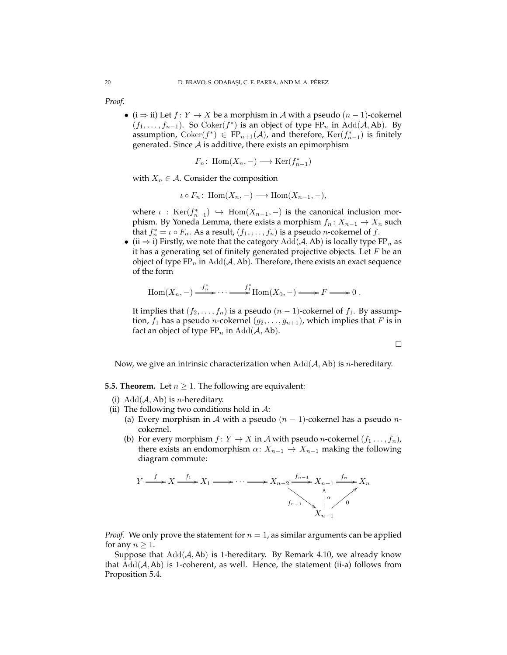*Proof.*

• ( $i \Rightarrow ii$ ) Let  $f: Y \rightarrow X$  be a morphism in A with a pseudo  $(n-1)$ -cokernel  $(f_1, \ldots, f_{n-1})$ . So Coker $(f^*)$  is an object of type  $\overline{FP}_n$  in Add( $\mathcal{A}, Ab$ ). By assumption,  $Coker(f^*) \in FP_{n+1}(\mathcal{A})$ , and therefore,  $Ker(f_{n-1}^*)$  is finitely generated. Since  $A$  is additive, there exists an epimorphism

$$
F_n\colon \operatorname{Hom}(X_n,-) \longrightarrow \operatorname{Ker}(f_{n-1}^*)
$$

with  $X_n \in \mathcal{A}$ . Consider the composition

$$
\iota \circ F_n: \text{Hom}(X_n, -) \longrightarrow \text{Hom}(X_{n-1}, -),
$$

where  $\iota$  :  $\text{Ker}(f_{n-1}^*) \hookrightarrow \text{Hom}(X_{n-1},-)$  is the canonical inclusion morphism. By Yoneda Lemma, there exists a morphism  $f_n: X_{n-1} \to X_n$  such that  $f_n^* = \iota \circ F_n$ . As a result,  $(f_1, \ldots, f_n)$  is a pseudo *n*-cokernel of  $f$ .

• (ii  $\Rightarrow$  i) Firstly, we note that the category  $Add(A, Ab)$  is locally type FP<sub>n</sub> as it has a generating set of finitely generated projective objects. Let  $F$  be an object of type  $FP_n$  in  $Add(A, Ab)$ . Therefore, there exists an exact sequence of the form

$$
Hom(X_n, -) \xrightarrow{f_n^*} \cdots \xrightarrow{f_1^*} Hom(X_0, -) \longrightarrow F \longrightarrow 0.
$$

It implies that  $(f_2, \ldots, f_n)$  is a pseudo  $(n-1)$ -cokernel of  $f_1$ . By assumption,  $f_1$  has a pseudo *n*-cokernel  $(g_2, \ldots, g_{n+1})$ , which implies that F is in fact an object of type  $FP_n$  in  $Add(\mathcal{A}, Ab)$ .

 $\Box$ 

Now, we give an intrinsic characterization when  $Add(\mathcal{A}, Ab)$  is *n*-hereditary.

# **5.5. Theorem.** Let  $n \geq 1$ . The following are equivalent:

- (i)  $Add(A, Ab)$  is *n*-hereditary.
- (ii) The following two conditions hold in  $A$ :
	- (a) Every morphism in A with a pseudo  $(n 1)$ -cokernel has a pseudo *n*cokernel.
	- (b) For every morphism  $f: Y \to X$  in A with pseudo *n*-cokernel  $(f_1 \ldots, f_n)$ , there exists an endomorphism  $\alpha: X_{n-1} \to X_{n-1}$  making the following diagram commute:



*Proof.* We only prove the statement for  $n = 1$ , as similar arguments can be applied for any  $n \geq 1$ .

Suppose that  $Add(A, Ab)$  is 1-hereditary. By Remark 4.10, we already know that  $Add(\mathcal{A}, \mathsf{Ab})$  is 1-coherent, as well. Hence, the statement (ii-a) follows from Proposition 5.4.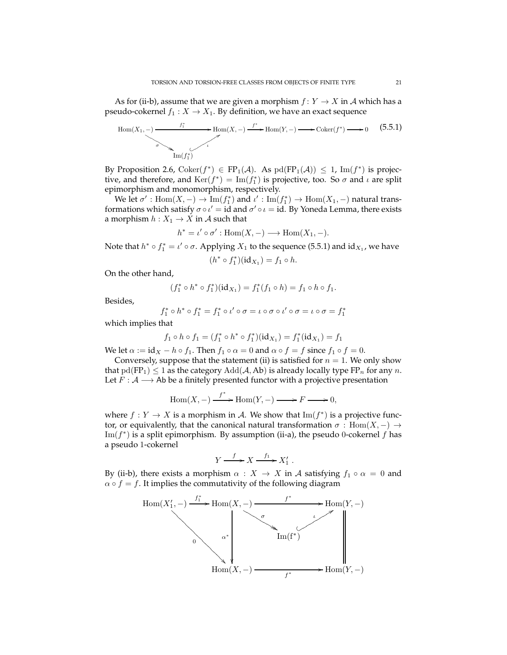As for (ii-b), assume that we are given a morphism  $f: Y \to X$  in A which has a pseudo-cokernel  $f_1 : X \to X_1$ . By definition, we have an exact sequence

$$
\text{Hom}(X_1, -) \xrightarrow{f_1^*} \text{Hom}(X, -) \xrightarrow{f^*} \text{Hom}(Y, -) \xrightarrow{\bullet} \text{Coker}(f^*) \xrightarrow{\bullet} 0 \qquad (5.5.1)
$$
\n
$$
\text{Im}(f_1^*)
$$

By Proposition 2.6,  $Coker(f^*) \in FP_1(\mathcal{A})$ . As  $pd(FP_1(\mathcal{A})) \leq 1$ ,  $Im(f^*)$  is projective, and therefore, and  $\text{Ker}(f^*) = \text{Im}(f_1^*)$  is projective, too. So  $\sigma$  and  $\iota$  are split epimorphism and monomorphism, respectively.

We let  $\sigma'$  :  $\text{Hom}(X, -) \to \text{Im}(f_1^*)$  and  $\iota'$  :  $\text{Im}(f_1^*) \to \text{Hom}(X_1, -)$  natural transformations which satisfy  $\sigma \circ \iota' = id$  and  $\sigma' \circ \iota = id$ . By Yoneda Lemma, there exists a morphism  $h: X_1 \to X$  in A such that

$$
h^* = \iota' \circ \sigma' : \text{Hom}(X, -) \longrightarrow \text{Hom}(X_1, -).
$$

Note that  $h^* \circ f_1^* = \iota' \circ \sigma$ . Applying  $X_1$  to the sequence (5.5.1) and id $_{X_1}$ , we have

$$
(h^* \circ f_1^*)(\mathrm{id}_{X_1}) = f_1 \circ h.
$$

On the other hand,

$$
(f_1^* \circ h^* \circ f_1^*)(\mathrm{id}_{X_1}) = f_1^*(f_1 \circ h) = f_1 \circ h \circ f_1.
$$

Besides,

$$
f_1^* \circ h^* \circ f_1^* = f_1^* \circ \iota' \circ \sigma = \iota \circ \sigma \circ \iota' \circ \sigma = \iota \circ \sigma = f_1^*
$$

which implies that

$$
f_1 \circ h \circ f_1 = (f_1^* \circ h^* \circ f_1^*)(\mathrm{id}_{X_1}) = f_1^*(\mathrm{id}_{X_1}) = f_1
$$

We let  $\alpha := id_X - h \circ f_1$ . Then  $f_1 \circ \alpha = 0$  and  $\alpha \circ f = f$  since  $f_1 \circ f = 0$ .

Conversely, suppose that the statement (ii) is satisfied for  $n = 1$ . We only show that  $pd(FP_1) \leq 1$  as the category  $Add(\mathcal{A}, Ab)$  is already locally type  $FP_n$  for any n. Let  $F : A \longrightarrow$  Ab be a finitely presented functor with a projective presentation

$$
Hom(X, -) \xrightarrow{f^*} Hom(Y, -) \longrightarrow F \longrightarrow 0,
$$

where  $f: Y \to X$  is a morphism in A. We show that  $\text{Im}(f^*)$  is a projective functor, or equivalently, that the canonical natural transformation  $\sigma$ : Hom $(X, -) \rightarrow$ Im( $f^*$ ) is a split epimorphism. By assumption (ii-a), the pseudo 0-cokernel  $f$  has a pseudo 1-cokernel

$$
Y \xrightarrow{f} X \xrightarrow{f_1} X'_1 .
$$

By (ii-b), there exists a morphism  $\alpha : X \to X$  in A satisfying  $f_1 \circ \alpha = 0$  and  $\alpha \circ f = f$ . It implies the commutativity of the following diagram

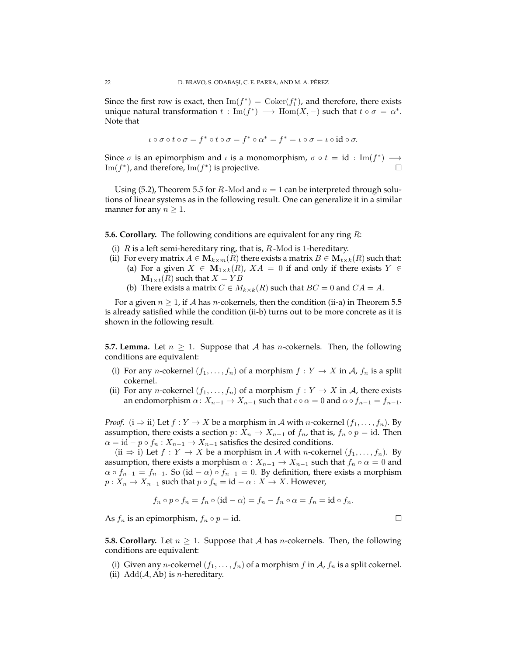Since the first row is exact, then  $\text{Im}(f^*) = \text{Coker}(f_1^*)$ , and therefore, there exists unique natural transformation  $t: \mathrm{Im}(f^*) \longrightarrow \mathrm{Hom}(X, -)$  such that  $t \circ \sigma = \alpha^*$ . Note that

$$
\iota\circ\sigma\circ t\circ\sigma=f^*\circ t\circ\sigma=f^*\circ\alpha^*=f^*=\iota\circ\sigma=\iota\circ\mathrm{id}\circ\sigma.
$$

Since  $\sigma$  is an epimorphism and  $\iota$  is a monomorphism,  $\sigma \circ t = id : \text{Im}(f^*) \longrightarrow$ Im( $f^*$ ), and therefore, Im( $f^*$ ) is projective.  $□$ 

Using (5.2), Theorem 5.5 for R-Mod and  $n = 1$  can be interpreted through solutions of linear systems as in the following result. One can generalize it in a similar manner for any  $n \geq 1$ .

**5.6. Corollary.** The following conditions are equivalent for any ring R:

- (i)  $R$  is a left semi-hereditary ring, that is,  $R$ -Mod is 1-hereditary.
- (ii) For every matrix  $A \in M_{k \times m}(R)$  there exists a matrix  $B \in M_{k \times k}(R)$  such that: (a) For a given  $X \in M_{1\times k}(R)$ ,  $XA = 0$  if and only if there exists  $Y \in$  $\mathbf{M}_{1\times t}(R)$  such that  $X = YB$ 
	- (b) There exists a matrix  $C \in M_{k \times k}(R)$  such that  $BC = 0$  and  $CA = A$ .

For a given  $n \geq 1$ , if A has n-cokernels, then the condition (ii-a) in Theorem 5.5 is already satisfied while the condition (ii-b) turns out to be more concrete as it is shown in the following result.

**5.7. Lemma.** Let  $n \geq 1$ . Suppose that A has *n*-cokernels. Then, the following conditions are equivalent:

- (i) For any *n*-cokernel  $(f_1, \ldots, f_n)$  of a morphism  $f : Y \to X$  in A,  $f_n$  is a split cokernel.
- (ii) For any *n*-cokernel  $(f_1, \ldots, f_n)$  of a morphism  $f : Y \to X$  in A, there exists an endomorphism  $\alpha: X_{n-1} \to X_{n-1}$  such that  $c \circ \alpha = 0$  and  $\alpha \circ f_{n-1} = f_{n-1}$ .

*Proof.* ( $i \Rightarrow ii$ ) Let  $f: Y \rightarrow X$  be a morphism in A with *n*-cokernel  $(f_1, \ldots, f_n)$ . By assumption, there exists a section  $p: X_n \to X_{n-1}$  of  $f_n$ , that is,  $f_n \circ p = id$ . Then  $\alpha = id - p \circ f_n : X_{n-1} \to X_{n-1}$  satisfies the desired conditions.

(ii  $\Rightarrow$  i) Let  $f: Y \rightarrow X$  be a morphism in A with *n*-cokernel  $(f_1, \ldots, f_n)$ . By assumption, there exists a morphism  $\alpha: X_{n-1} \to X_{n-1}$  such that  $f_n \circ \alpha = 0$  and  $\alpha \circ f_{n-1} = f_{n-1}$ . So (id –  $\alpha$ ) ∘  $f_{n-1} = 0$ . By definition, there exists a morphism  $p: X_n \to X_{n-1}$  such that  $p \circ f_n = id - \alpha : X \to X$ . However,

$$
f_n \circ p \circ f_n = f_n \circ (\text{id} - \alpha) = f_n - f_n \circ \alpha = f_n = \text{id} \circ f_n.
$$

As  $f_n$  is an epimorphism,  $f_n \circ p = id$ .

**5.8. Corollary.** Let  $n \geq 1$ . Suppose that A has *n*-cokernels. Then, the following conditions are equivalent:

(i) Given any *n*-cokernel  $(f_1, \ldots, f_n)$  of a morphism f in A,  $f_n$  is a split cokernel. (ii)  $Add(A, Ab)$  is *n*-hereditary.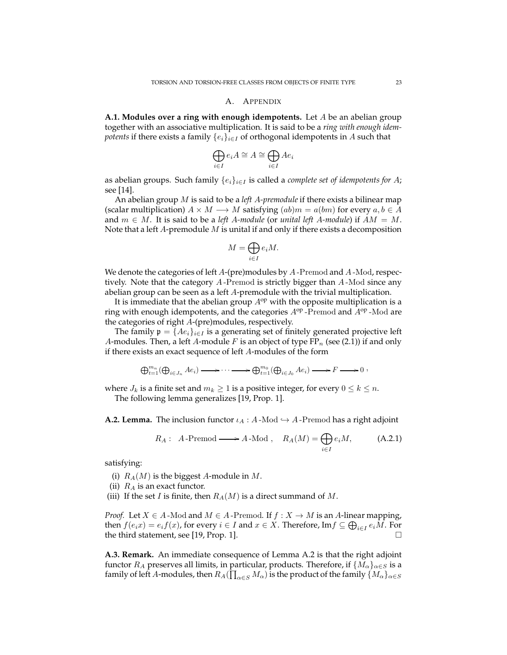## A. APPENDIX

**A.1. Modules over a ring with enough idempotents.** Let A be an abelian group together with an associative multiplication. It is said to be a *ring with enough idempotents* if there exists a family  $\{e_i\}_{i\in I}$  of orthogonal idempotents in A such that

$$
\bigoplus_{i \in I} e_i A \cong A \cong \bigoplus_{i \in I} Ae_i
$$

as abelian groups. Such family  $\{e_i\}_{i\in I}$  is called a *complete set of idempotents for* A; see [14].

An abelian group M is said to be a *left* A*-premodule* if there exists a bilinear map (scalar multiplication)  $A \times M \longrightarrow M$  satisfying  $(ab)m = a(bm)$  for every  $a, b \in A$ and  $m \in M$ . It is said to be a *left A-module* (or *unital left A-module*) if  $AM = M$ . Note that a left  $A$ -premodule  $M$  is unital if and only if there exists a decomposition

$$
M=\bigoplus_{i\in I}e_iM.
$$

We denote the categories of left  $A$ -(pre)modules by  $A$ -Premod and  $A$ -Mod, respectively. Note that the category A -Premod is strictly bigger than A -Mod since any abelian group can be seen as a left A-premodule with the trivial multiplication.

It is immediate that the abelian group  $A^{op}$  with the opposite multiplication is a ring with enough idempotents, and the categories  $A^{op}$ -Premod and  $A^{op}$ -Mod are the categories of right A-(pre)modules, respectively.

The family  $\mathfrak{p} = \{Ae_i\}_{i \in I}$  is a generating set of finitely generated projective left A-modules. Then, a left A-module F is an object of type  $FP_n$  (see (2.1)) if and only if there exists an exact sequence of left A-modules of the form

$$
\bigoplus_{t=1}^{m_n}(\bigoplus_{i\in J_n} Ae_i)\longrightarrow \cdots \longrightarrow \bigoplus_{t=1}^{m_0}(\bigoplus_{i\in J_0} Ae_i)\longrightarrow F\longrightarrow 0,
$$

where  $J_k$  is a finite set and  $m_k \geq 1$  is a positive integer, for every  $0 \leq k \leq n$ . The following lemma generalizes [19, Prop. 1].

**A.2. Lemma.** The inclusion functor  $\iota_A : A$ -Mod  $\hookrightarrow A$ -Premod has a right adjoint

$$
R_A: A\text{-Premod}\longrightarrow A\text{-Mod}, R_A(M)=\bigoplus_{i\in I}e_iM,
$$
 (A.2.1)

satisfying:

(i)  $R_A(M)$  is the biggest A-module in M.

(ii)  $R_A$  is an exact functor.

(iii) If the set I is finite, then  $R_A(M)$  is a direct summand of M.

*Proof.* Let  $X \in A$ -Mod and  $M \in A$ -Premod. If  $f : X \to M$  is an A-linear mapping, then  $f(e_i x) = e_i f(x)$ , for every  $i \in I$  and  $x \in X$ . Therefore, Im $f \subseteq \bigoplus_{i \in I} e_i M$ . For the third statement, see [19, Prop. 1].

**A.3. Remark.** An immediate consequence of Lemma A.2 is that the right adjoint functor  $R_A$  preserves all limits, in particular, products. Therefore, if  $\{M_\alpha\}_{\alpha\in S}$  is a family of left  $A$ -modules, then  $R_A(\prod_{\alpha\in S}M_\alpha)$  is the product of the family  $\{M_\alpha\}_{\alpha\in S}$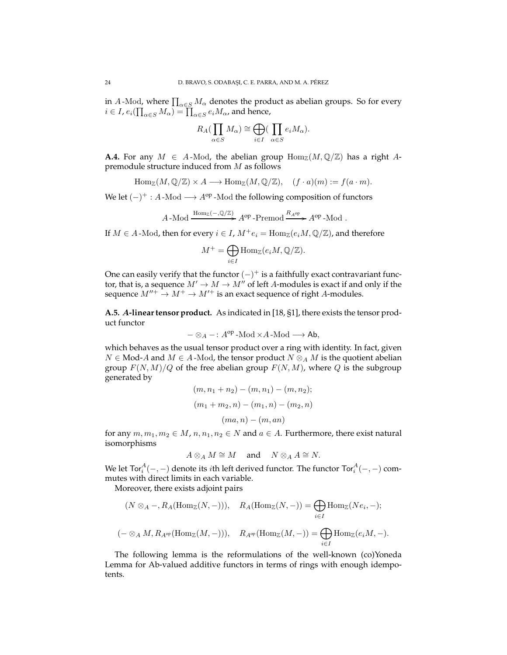in  $A$ -Mod, where  $\prod_{\alpha\in S}M_\alpha$  denotes the product as abelian groups. So for every  $i \in I$ ,  $e_i(\prod_{\alpha \in S} M_\alpha) = \prod_{\alpha \in S} e_i M_\alpha$ , and hence,

$$
R_A(\prod_{\alpha \in S} M_\alpha) \cong \bigoplus_{i \in I} (\prod_{\alpha \in S} e_i M_\alpha).
$$

**A.4.** For any  $M \in A$ -Mod, the abelian group  $\text{Hom}_{\mathbb{Z}}(M,\mathbb{Q}/\mathbb{Z})$  has a right Apremodule structure induced from M as follows

$$
\text{Hom}_{\mathbb{Z}}(M,\mathbb{Q}/\mathbb{Z}) \times A \longrightarrow \text{Hom}_{\mathbb{Z}}(M,\mathbb{Q}/\mathbb{Z}), \quad (f \cdot a)(m) := f(a \cdot m).
$$

We let  $(-)^+$ : A-Mod  $\longrightarrow$  A<sup>op</sup>-Mod the following composition of functors

$$
A - \text{Mod} \xrightarrow{\text{Hom}_{\mathbb{Z}}(-,\mathbb{Q}/\mathbb{Z})} A^{\text{op}} - \text{Premod} \xrightarrow{R_{A^{\text{op}}}} A^{\text{op}} - \text{Mod}.
$$

If  $M \in A$ -Mod, then for every  $i \in I$ ,  $M^+e_i = \text{Hom}_{\mathbb{Z}}(e_iM, \mathbb{Q}/\mathbb{Z})$ , and therefore

$$
M^+ = \bigoplus_{i \in I} \text{Hom}_{\mathbb{Z}}(e_i M, \mathbb{Q}/\mathbb{Z}).
$$

One can easily verify that the functor  $(-)^+$  is a faithfully exact contravariant functor, that is, a sequence  $M' \rightarrow M \rightarrow M''$  of left A-modules is exact if and only if the sequence  $M''^+ \to M^+ \to M'^+$  is an exact sequence of right A-modules.

**A.5.** A**-linear tensor product.** As indicated in [18, §1], there exists the tensor product functor

$$
-\otimes_A-:A^{op}\operatorname{-Mod}\times A\operatorname{-Mod}\longrightarrow \operatorname{\sf Ab},
$$

which behaves as the usual tensor product over a ring with identity. In fact, given  $N \in Mod$ -A and  $M \in A$ -Mod, the tensor product  $N \otimes_A M$  is the quotient abelian group  $F(N, M)/Q$  of the free abelian group  $F(N, M)$ , where Q is the subgroup generated by

$$
(m, n_1 + n_2) - (m, n_1) - (m, n_2);
$$

$$
(m_1 + m_2, n) - (m_1, n) - (m_2, n)
$$

$$
(ma, n) - (m, an)
$$

for any  $m, m_1, m_2 \in M$ ,  $n, n_1, n_2 \in N$  and  $a \in A$ . Furthermore, there exist natural isomorphisms

$$
A\otimes_A M \cong M \quad \text{and} \quad N\otimes_A A \cong N.
$$

We let Tor $_i^A(-,-)$  denote its  $i$ th left derived functor. The functor Tor $_i^A(-,-)$  commutes with direct limits in each variable.

Moreover, there exists adjoint pairs

$$
(N \otimes_A -, R_A(\text{Hom}_{\mathbb{Z}}(N,-))), \quad R_A(\text{Hom}_{\mathbb{Z}}(N,-)) = \bigoplus_{i \in I} \text{Hom}_{\mathbb{Z}}(Ne_i, -);
$$

$$
(- \otimes_A M, R_{A^{\mathrm{op}}}(\mathrm{Hom}_{\mathbb{Z}}(M,-))), \quad R_{A^{\mathrm{op}}}(\mathrm{Hom}_{\mathbb{Z}}(M,-)) = \bigoplus_{i \in I} \mathrm{Hom}_{\mathbb{Z}}(e_iM,-).
$$

The following lemma is the reformulations of the well-known (co)Yoneda Lemma for Ab-valued additive functors in terms of rings with enough idempotents.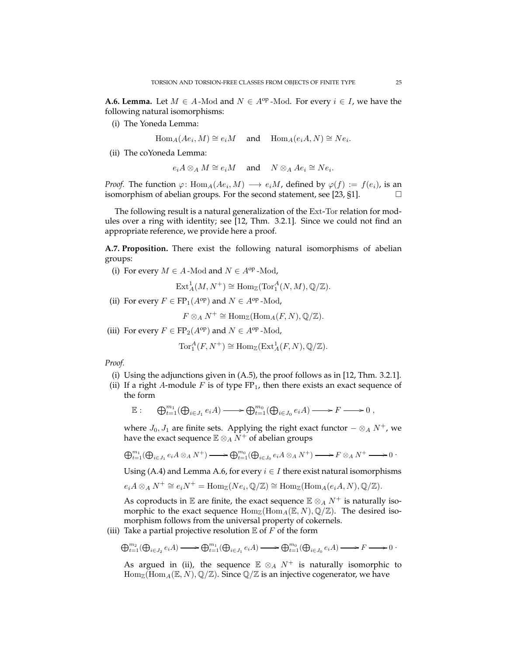**A.6. Lemma.** Let  $M \in A$ -Mod and  $N \in A^{op}$ -Mod. For every  $i \in I$ , we have the following natural isomorphisms:

(i) The Yoneda Lemma:

 $\text{Hom}_A(Ae_i, M) \cong e_i M$  and  $\text{Hom}_A(e_i A, N) \cong Ne_i$ .

(ii) The coYoneda Lemma:

$$
e_i A \otimes_A M \cong e_i M \quad \text{and} \quad N \otimes_A Ae_i \cong Ne_i.
$$

*Proof.* The function  $\varphi \colon \text{Hom}_{A}(Ae_i, M) \longrightarrow e_iM$ , defined by  $\varphi(f) := f(e_i)$ , is an isomorphism of abelian groups. For the second statement, see [23, §1].  $\Box$ 

The following result is a natural generalization of the Ext-Tor relation for modules over a ring with identity; see [12, Thm. 3.2.1]. Since we could not find an appropriate reference, we provide here a proof.

**A.7. Proposition.** There exist the following natural isomorphisms of abelian groups:

(i) For every  $M \in A$ -Mod and  $N \in A^{op}$ -Mod,

 $\text{Ext}^1_A(M, N^+) \cong \text{Hom}_{\mathbb{Z}}(\text{Tor}_1^A(N, M), \mathbb{Q}/\mathbb{Z}).$ 

(ii) For every  $F \in \text{FP}_1(A^{\text{op}})$  and  $N \in A^{\text{op}}$ -Mod,

 $F \otimes_A N^+ \cong \text{Hom}_{\mathbb{Z}}(\text{Hom}_A(F,N), \mathbb{Q}/\mathbb{Z}).$ 

(iii) For every  $F \in \text{FP}_2(A^{\text{op}})$  and  $N \in A^{\text{op}}$  -Mod,

$$
\operatorname{Tor}^A_1(F, N^+) \cong \operatorname{Hom}_{\mathbb{Z}}(\operatorname{Ext}^1_A(F, N), \mathbb{Q}/\mathbb{Z}).
$$

*Proof.*

- (i) Using the adjunctions given in (A.5), the proof follows as in [12, Thm. 3.2.1].
- (ii) If a right A-module  $F$  is of type  $FP_1$ , then there exists an exact sequence of the form

$$
\mathbb{E}: \quad \bigoplus_{t=1}^{m_1} (\bigoplus_{i \in J_1} e_i A) \longrightarrow \bigoplus_{t=1}^{m_0} (\bigoplus_{i \in J_0} e_i A) \longrightarrow F \longrightarrow 0,
$$

where  $J_0$ ,  $J_1$  are finite sets. Applying the right exact functor  $-\otimes_A N^+$ , we have the exact sequence  $\mathbb{E} \otimes_A N^+$  of abelian groups

$$
\bigoplus_{t=1}^{m_1}(\bigoplus_{i\in J_1}e_iA\otimes_A N^+) \longrightarrow \bigoplus_{t=1}^{m_0}(\bigoplus_{i\in J_0}e_iA\otimes_A N^+) \longrightarrow F\otimes_A N^+ \longrightarrow 0
$$

Using (A.4) and Lemma A.6, for every  $i \in I$  there exist natural isomorphisms

$$
e_i A \otimes_A N^+ \cong e_i N^+ = \text{Hom}_{\mathbb{Z}}(Ne_i, \mathbb{Q}/\mathbb{Z}) \cong \text{Hom}_{\mathbb{Z}}(\text{Hom}_A(e_i A, N), \mathbb{Q}/\mathbb{Z}).
$$

As coproducts in  $E$  are finite, the exact sequence  $E \otimes_A N^+$  is naturally isomorphic to the exact sequence  $\text{Hom}_{\mathbb{Z}}(\text{Hom}_{A}(\mathbb{E}, N), \mathbb{Q}/\mathbb{Z})$ . The desired isomorphism follows from the universal property of cokernels.

(iii) Take a partial projective resolution  $E$  of  $F$  of the form

$$
\bigoplus_{t=1}^{m_2}(\bigoplus_{i\in J_2}e_iA)\longrightarrow \bigoplus_{t=1}^{m_1}(\bigoplus_{i\in J_1}e_iA)\longrightarrow \bigoplus_{t=1}^{m_0}(\bigoplus_{i\in J_0}e_iA)\longrightarrow F\longrightarrow 0\ .
$$

As argued in (ii), the sequence  $E \otimes_A N^+$  is naturally isomorphic to  $\text{Hom}_{\mathbb{Z}}(\text{Hom}_A(\mathbb{E}, N), \mathbb{Q}/\mathbb{Z})$ . Since  $\mathbb{Q}/\mathbb{Z}$  is an injective cogenerator, we have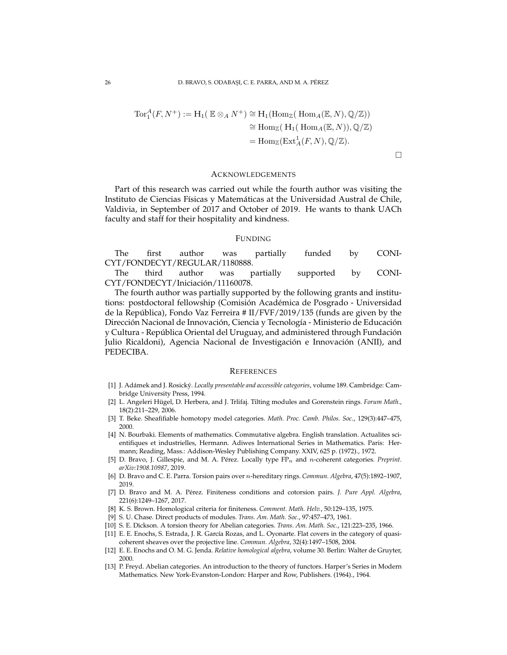$$
Tor_1^A(F, N^+) := H_1(\mathbb{E} \otimes_A N^+) \cong H_1(\text{Hom}_{\mathbb{Z}}(\text{Hom}_A(\mathbb{E}, N), \mathbb{Q}/\mathbb{Z}))
$$
  
\n
$$
\cong \text{Hom}_{\mathbb{Z}}(\text{H}_1(\text{Hom}_A(\mathbb{E}, N)), \mathbb{Q}/\mathbb{Z})
$$
  
\n
$$
= \text{Hom}_{\mathbb{Z}}(\text{Ext}_A^1(F, N), \mathbb{Q}/\mathbb{Z}).
$$

 $\Box$ 

### ACKNOWLEDGEMENTS

Part of this research was carried out while the fourth author was visiting the Instituto de Ciencias Físicas y Matemáticas at the Universidad Austral de Chile, Valdivia, in September of 2017 and October of 2019. He wants to thank UACh faculty and staff for their hospitality and kindness.

### FUNDING

The first author was partially funded by CONI-CYT/FONDECYT/REGULAR/1180888.

The third author was partially supported by CONI-CYT/FONDECYT/Iniciación/11160078.

The fourth author was partially supported by the following grants and institutions: postdoctoral fellowship (Comisión Académica de Posgrado - Universidad de la República), Fondo Vaz Ferreira # II/FVF/2019/135 (funds are given by the Dirección Nacional de Innovación, Ciencia y Tecnología - Ministerio de Educación y Cultura - República Oriental del Uruguay, and administered through Fundación Julio Ricaldoni), Agencia Nacional de Investigación e Innovación (ANII), and PEDECIBA.

#### **REFERENCES**

- [1] J. Adámek and J. Rosický. *Locally presentable and accessible categories*, volume 189. Cambridge: Cambridge University Press, 1994.
- [2] L. Angeleri Hügel, D. Herbera, and J. Trlifaj. Tilting modules and Gorenstein rings. *Forum Math.*, 18(2):211–229, 2006.
- [3] T. Beke. Sheafifiable homotopy model categories. *Math. Proc. Camb. Philos. Soc.*, 129(3):447–475, 2000.
- [4] N. Bourbaki. Elements of mathematics. Commutative algebra. English translation. Actualites scientifiques et industrielles, Hermann. Adiwes International Series in Mathematics. Paris: Hermann; Reading, Mass.: Addison-Wesley Publishing Company. XXIV, 625 p. (1972)., 1972.
- [5] D. Bravo, J. Gillespie, and M. A. Pérez. Locally type FP<sub>n</sub> and *n*-coherent categories. *Preprint*. *arXiv:1908.10987*, 2019.
- [6] D. Bravo and C. E. Parra. Torsion pairs over n-hereditary rings. *Commun. Algebra*, 47(5):1892–1907, 2019.
- [7] D. Bravo and M. A. Pérez. Finiteness conditions and cotorsion pairs. *J. Pure Appl. Algebra*, 221(6):1249–1267, 2017.
- [8] K. S. Brown. Homological criteria for finiteness. *Comment. Math. Helv.*, 50:129–135, 1975.
- [9] S. U. Chase. Direct products of modules. *Trans. Am. Math. Soc.*, 97:457–473, 1961.
- [10] S. E. Dickson. A torsion theory for Abelian categories. *Trans. Am. Math. Soc.*, 121:223–235, 1966.
- [11] E. E. Enochs, S. Estrada, J. R. García Rozas, and L. Oyonarte. Flat covers in the category of quasicoherent sheaves over the projective line. *Commun. Algebra*, 32(4):1497–1508, 2004.
- [12] E. E. Enochs and O. M. G. Jenda. *Relative homological algebra*, volume 30. Berlin: Walter de Gruyter, 2000.
- [13] P. Freyd. Abelian categories. An introduction to the theory of functors. Harper's Series in Modern Mathematics. New York-Evanston-London: Harper and Row, Publishers. (1964)., 1964.